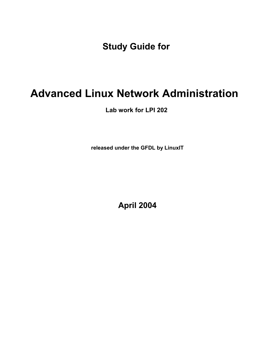**Study Guide for**

# **Advanced Linux Network Administration**

**Lab work for LPI 202** 

**released under the GFDL by LinuxIT**

**April 2004**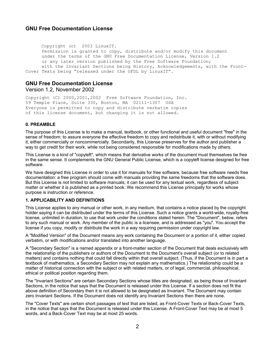```
Copyright (c) 2003 LinuxIT.
      Permission is granted to copy, distribute and/or modify this document
      under the terms of the GNU Free Documentation License, Version 1.2
      or any later version published by the Free Software Foundation;
      with the Invariant Sections being History, Acknowledgements, with the Front-
Cover Texts being "released under the GFDL by LinuxIT".
```
#### **GNU Free Documentation License** Version 1.2, November 2002

Copyright (C) 2000,2001,2002 Free Software Foundation, Inc. 59 Temple Place, Suite 330, Boston, MA 02111-1307 USA Everyone is permitted to copy and distribute verbatim copies of this license document, but changing it is not allowed.

#### **0. PREAMBLE**

The purpose of this License is to make a manual, textbook, or other functional and useful document "free" in the sense of freedom: to assure everyone the effective freedom to copy and redistribute it, with or without modifying it, either commercially or noncommercially. Secondarily, this License preserves for the author and publisher a way to get credit for their work, while not being considered responsible for modifications made by others.

This License is a kind of "copyleft", which means that derivative works of the document must themselves be free in the same sense. It complements the GNU General Public License, which is a copyleft license designed for free software.

We have designed this License in order to use it for manuals for free software, because free software needs free documentation: a free program should come with manuals providing the same freedoms that the software does. But this License is not limited to software manuals; it can be used for any textual work, regardless of subject matter or whether it is published as a printed book. We recommend this License principally for works whose purpose is instruction or reference.

#### **1. APPLICABILITY AND DEFINITIONS**

This License applies to any manual or other work, in any medium, that contains a notice placed by the copyright holder saying it can be distributed under the terms of this License. Such a notice grants a world-wide, royalty-free license, unlimited in duration, to use that work under the conditions stated herein. The "Document", below, refers to any such manual or work. Any member of the public is a licensee, and is addressed as "you". You accept the license if you copy, modify or distribute the work in a way requiring permission under copyright law.

A "Modified Version" of the Document means any work containing the Document or a portion of it, either copied verbatim, or with modifications and/or translated into another language.

A "Secondary Section" is a named appendix or a front-matter section of the Document that deals exclusively with the relationship of the publishers or authors of the Document to the Document's overall subject (or to related matters) and contains nothing that could fall directly within that overall subject. (Thus, if the Document is in part a textbook of mathematics, a Secondary Section may not explain any mathematics.) The relationship could be a matter of historical connection with the subject or with related matters, or of legal, commercial, philosophical, ethical or political position regarding them.

The "Invariant Sections" are certain Secondary Sections whose titles are designated, as being those of Invariant Sections, in the notice that says that the Document is released under this License. If a section does not fit the above definition of Secondary then it is not allowed to be designated as Invariant. The Document may contain zero Invariant Sections. If the Document does not identify any Invariant Sections then there are none.

The "Cover Texts" are certain short passages of text that are listed, as Front-Cover Texts or Back-Cover Texts, in the notice that says that the Document is released under this License. A Front-Cover Text may be at most 5 words, and a Back-Cover Text may be at most 25 words.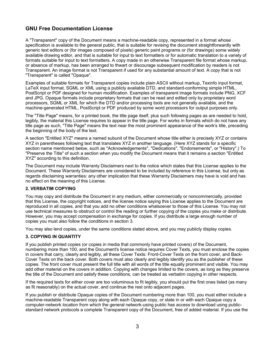A "Transparent" copy of the Document means a machine-readable copy, represented in a format whose specification is available to the general public, that is suitable for revising the document straightforwardly with generic text editors or (for images composed of pixels) generic paint programs or (for drawings) some widely available drawing editor, and that is suitable for input to text formatters or for automatic translation to a variety of formats suitable for input to text formatters. A copy made in an otherwise Transparent file format whose markup, or absence of markup, has been arranged to thwart or discourage subsequent modification by readers is not Transparent. An image format is not Transparent if used for any substantial amount of text. A copy that is not "Transparent" is called "Opaque".

Examples of suitable formats for Transparent copies include plain ASCII without markup, Texinfo input format, LaTeX input format, SGML or XML using a publicly available DTD, and standard-conforming simple HTML, PostScript or PDF designed for human modification. Examples of transparent image formats include PNG, XCF and JPG. Opaque formats include proprietary formats that can be read and edited only by proprietary word processors, SGML or XML for which the DTD and/or processing tools are not generally available, and the machine-generated HTML, PostScript or PDF produced by some word processors for output purposes only.

The "Title Page" means, for a printed book, the title page itself, plus such following pages as are needed to hold, legibly, the material this License requires to appear in the title page. For works in formats which do not have any title page as such, "Title Page" means the text near the most prominent appearance of the work's title, preceding the beginning of the body of the text.

A section "Entitled XYZ" means a named subunit of the Document whose title either is precisely XYZ or contains XYZ in parentheses following text that translates XYZ in another language. (Here XYZ stands for a specific section name mentioned below, such as "Acknowledgements", "Dedications", "Endorsements", or "History".) To "Preserve the Title" of such a section when you modify the Document means that it remains a section "Entitled XYZ" according to this definition.

The Document may include Warranty Disclaimers next to the notice which states that this License applies to the Document. These Warranty Disclaimers are considered to be included by reference in this License, but only as regards disclaiming warranties: any other implication that these Warranty Disclaimers may have is void and has no effect on the meaning of this License.

#### **2. VERBATIM COPYING**

You may copy and distribute the Document in any medium, either commercially or noncommercially, provided that this License, the copyright notices, and the license notice saying this License applies to the Document are reproduced in all copies, and that you add no other conditions whatsoever to those of this License. You may not use technical measures to obstruct or control the reading or further copying of the copies you make or distribute. However, you may accept compensation in exchange for copies. If you distribute a large enough number of copies you must also follow the conditions in section 3.

You may also lend copies, under the same conditions stated above, and you may publicly display copies.

#### **3. COPYING IN QUANTITY**

If you publish printed copies (or copies in media that commonly have printed covers) of the Document, numbering more than 100, and the Document's license notice requires Cover Texts, you must enclose the copies in covers that carry, clearly and legibly, all these Cover Texts: Front-Cover Texts on the front cover, and Back-Cover Texts on the back cover. Both covers must also clearly and legibly identify you as the publisher of these copies. The front cover must present the full title with all words of the title equally prominent and visible. You may add other material on the covers in addition. Copying with changes limited to the covers, as long as they preserve the title of the Document and satisfy these conditions, can be treated as verbatim copying in other respects.

If the required texts for either cover are too voluminous to fit legibly, you should put the first ones listed (as many as fit reasonably) on the actual cover, and continue the rest onto adjacent pages.

If you publish or distribute Opaque copies of the Document numbering more than 100, you must either include a machine-readable Transparent copy along with each Opaque copy, or state in or with each Opaque copy a computer-network location from which the general network-using public has access to download using publicstandard network protocols a complete Transparent copy of the Document, free of added material. If you use the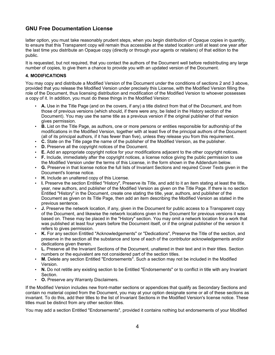latter option, you must take reasonably prudent steps, when you begin distribution of Opaque copies in quantity, to ensure that this Transparent copy will remain thus accessible at the stated location until at least one year after the last time you distribute an Opaque copy (directly or through your agents or retailers) of that edition to the public.

It is requested, but not required, that you contact the authors of the Document well before redistributing any large number of copies, to give them a chance to provide you with an updated version of the Document.

#### **4. MODIFICATIONS**

You may copy and distribute a Modified Version of the Document under the conditions of sections 2 and 3 above, provided that you release the Modified Version under precisely this License, with the Modified Version filling the role of the Document, thus licensing distribution and modification of the Modified Version to whoever possesses a copy of it. In addition, you must do these things in the Modified Version:

- **A.** Use in the Title Page (and on the covers, if any) a title distinct from that of the Document, and from those of previous versions (which should, if there were any, be listed in the History section of the Document). You may use the same title as a previous version if the original publisher of that version gives permission.
- **B.** List on the Title Page, as authors, one or more persons or entities responsible for authorship of the modifications in the Modified Version, together with at least five of the principal authors of the Document (all of its principal authors, if it has fewer than five), unless they release you from this requirement.
- **C.** State on the Title page the name of the publisher of the Modified Version, as the publisher.
- **D.** Preserve all the copyright notices of the Document.
- **E.** Add an appropriate copyright notice for your modifications adjacent to the other copyright notices.
- **F.** Include, immediately after the copyright notices, a license notice giving the public permission to use the Modified Version under the terms of this License, in the form shown in the Addendum below.
- **G.** Preserve in that license notice the full lists of Invariant Sections and required Cover Texts given in the Document's license notice.
- **H.** Include an unaltered copy of this License.
- **I.** Preserve the section Entitled "History", Preserve its Title, and add to it an item stating at least the title, year, new authors, and publisher of the Modified Version as given on the Title Page. If there is no section Entitled "History" in the Document, create one stating the title, year, authors, and publisher of the Document as given on its Title Page, then add an item describing the Modified Version as stated in the previous sentence.
- **J.** Preserve the network location, if any, given in the Document for public access to a Transparent copy of the Document, and likewise the network locations given in the Document for previous versions it was based on. These may be placed in the "History" section. You may omit a network location for a work that was published at least four years before the Document itself, or if the original publisher of the version it refers to gives permission.
- **K.** For any section Entitled "Acknowledgements" or "Dedications", Preserve the Title of the section, and preserve in the section all the substance and tone of each of the contributor acknowledgements and/or dedications given therein.
- **L.** Preserve all the Invariant Sections of the Document, unaltered in their text and in their titles. Section numbers or the equivalent are not considered part of the section titles.
- **M.** Delete any section Entitled "Endorsements". Such a section may not be included in the Modified Version.
- **N.** Do not retitle any existing section to be Entitled "Endorsements" or to conflict in title with any Invariant Section.
- **O.** Preserve any Warranty Disclaimers.

If the Modified Version includes new front-matter sections or appendices that qualify as Secondary Sections and contain no material copied from the Document, you may at your option designate some or all of these sections as invariant. To do this, add their titles to the list of Invariant Sections in the Modified Version's license notice. These titles must be distinct from any other section titles.

You may add a section Entitled "Endorsements", provided it contains nothing but endorsements of your Modified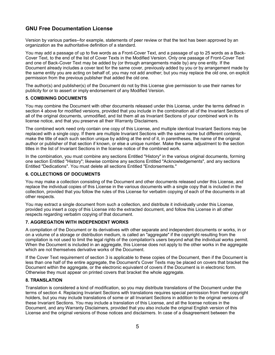Version by various parties--for example, statements of peer review or that the text has been approved by an organization as the authoritative definition of a standard.

You may add a passage of up to five words as a Front-Cover Text, and a passage of up to 25 words as a Back-Cover Text, to the end of the list of Cover Texts in the Modified Version. Only one passage of Front-Cover Text and one of Back-Cover Text may be added by (or through arrangements made by) any one entity. If the Document already includes a cover text for the same cover, previously added by you or by arrangement made by the same entity you are acting on behalf of, you may not add another; but you may replace the old one, on explicit permission from the previous publisher that added the old one.

The author(s) and publisher(s) of the Document do not by this License give permission to use their names for publicity for or to assert or imply endorsement of any Modified Version.

#### **5. COMBINING DOCUMENTS**

You may combine the Document with other documents released under this License, under the terms defined in section 4 above for modified versions, provided that you include in the combination all of the Invariant Sections of all of the original documents, unmodified, and list them all as Invariant Sections of your combined work in its license notice, and that you preserve all their Warranty Disclaimers.

The combined work need only contain one copy of this License, and multiple identical Invariant Sections may be replaced with a single copy. If there are multiple Invariant Sections with the same name but different contents, make the title of each such section unique by adding at the end of it, in parentheses, the name of the original author or publisher of that section if known, or else a unique number. Make the same adjustment to the section titles in the list of Invariant Sections in the license notice of the combined work.

In the combination, you must combine any sections Entitled "History" in the various original documents, forming one section Entitled "History"; likewise combine any sections Entitled "Acknowledgements", and any sections Entitled "Dedications". You must delete all sections Entitled "Endorsements."

#### **6. COLLECTIONS OF DOCUMENTS**

You may make a collection consisting of the Document and other documents released under this License, and replace the individual copies of this License in the various documents with a single copy that is included in the collection, provided that you follow the rules of this License for verbatim copying of each of the documents in all other respects.

You may extract a single document from such a collection, and distribute it individually under this License, provided you insert a copy of this License into the extracted document, and follow this License in all other respects regarding verbatim copying of that document.

#### **7. AGGREGATION WITH INDEPENDENT WORKS**

A compilation of the Document or its derivatives with other separate and independent documents or works, in or on a volume of a storage or distribution medium, is called an "aggregate" if the copyright resulting from the compilation is not used to limit the legal rights of the compilation's users beyond what the individual works permit. When the Document is included in an aggregate, this License does not apply to the other works in the aggregate which are not themselves derivative works of the Document.

If the Cover Text requirement of section 3 is applicable to these copies of the Document, then if the Document is less than one half of the entire aggregate, the Document's Cover Texts may be placed on covers that bracket the Document within the aggregate, or the electronic equivalent of covers if the Document is in electronic form. Otherwise they must appear on printed covers that bracket the whole aggregate.

#### **8. TRANSLATION**

Translation is considered a kind of modification, so you may distribute translations of the Document under the terms of section 4. Replacing Invariant Sections with translations requires special permission from their copyright holders, but you may include translations of some or all Invariant Sections in addition to the original versions of these Invariant Sections. You may include a translation of this License, and all the license notices in the Document, and any Warranty Disclaimers, provided that you also include the original English version of this License and the original versions of those notices and disclaimers. In case of a disagreement between the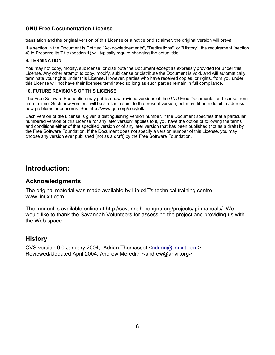translation and the original version of this License or a notice or disclaimer, the original version will prevail.

If a section in the Document is Entitled "Acknowledgements", "Dedications", or "History", the requirement (section 4) to Preserve its Title (section 1) will typically require changing the actual title.

#### **9. TERMINATION**

You may not copy, modify, sublicense, or distribute the Document except as expressly provided for under this License. Any other attempt to copy, modify, sublicense or distribute the Document is void, and will automatically terminate your rights under this License. However, parties who have received copies, or rights, from you under this License will not have their licenses terminated so long as such parties remain in full compliance.

#### **10. FUTURE REVISIONS OF THIS LICENSE**

The Free Software Foundation may publish new, revised versions of the GNU Free Documentation License from time to time. Such new versions will be similar in spirit to the present version, but may differ in detail to address new problems or concerns. See http://www.gnu.org/copyleft/.

Each version of the License is given a distinguishing version number. If the Document specifies that a particular numbered version of this License "or any later version" applies to it, you have the option of following the terms and conditions either of that specified version or of any later version that has been published (not as a draft) by the Free Software Foundation. If the Document does not specify a version number of this License, you may choose any version ever published (not as a draft) by the Free Software Foundation.

# **Introduction:**

## **Acknowledgments**

The original material was made available by LinuxIT's technical training centre www.linuxit.com.

The manual is available online at http://savannah.nongnu.org/projects/lpi-manuals/. We would like to thank the Savannah Volunteers for assessing the project and providing us with the Web space.

## **History**

CVS version 0.0 January 2004, Adrian Thomasset <adrian@linuxit.com>. Reviewed/Updated April 2004, Andrew Meredith <andrew@anvil.org>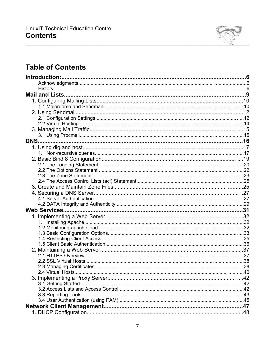

# **Table of Contents**

| DNS. |     |
|------|-----|
|      |     |
|      |     |
|      |     |
|      |     |
|      |     |
|      |     |
|      |     |
|      |     |
|      |     |
|      |     |
|      |     |
|      |     |
|      |     |
|      |     |
|      |     |
|      |     |
|      |     |
|      |     |
|      |     |
|      |     |
|      |     |
|      |     |
|      |     |
|      | .42 |
|      |     |
|      |     |
|      |     |
|      |     |
|      |     |
|      |     |
|      |     |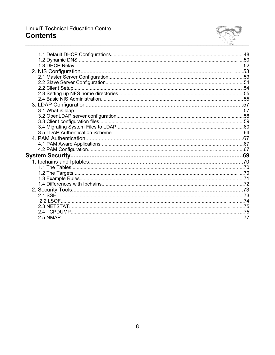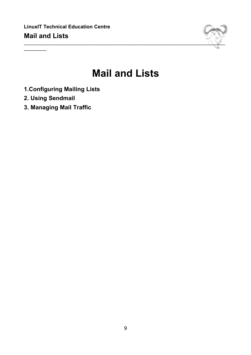

# **Mail and Lists**

- **1.Configuring Mailing Lists**
- **2. Using Sendmail**

 $\frac{1}{2}$ 

**3. Managing Mail Traffic**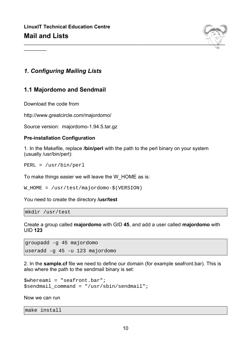

## *1. Configuring Mailing Lists*

## **1.1 Majordomo and Sendmail**

Download the code from

 $\frac{1}{2}$ 

http://www.greatcircle.com/majordomo/

Source version: majordomo-1.94.5.tar.gz

## **Pre-installation Configuration**

1. In the Makefile, replace **/bin/perl** with the path to the perl binary on your system (usually /usr/bin/perl):

PERL = /usr/bin/perl

To make things easier we will leave the W\_HOME as is:

W\_HOME = /usr/test/majordomo-\$(VERSION)

You need to create the directory **/usr/test**

mkdir /usr/test

Create a group called **majordomo** with GID **45**, and add a user called **majordomo** with UID **123**

```
groupadd -g 45 majordomo
useradd -g 45 -u 123 majordomo
```
2. In the **sample.cf** file we need to define our domain (for example seafront.bar). This is also where the path to the sendmail binary is set:

\$whereami = "seafront.bar";  $$sendmail command = "/usr/sbin/sendmail"$ ;

Now we can run

make install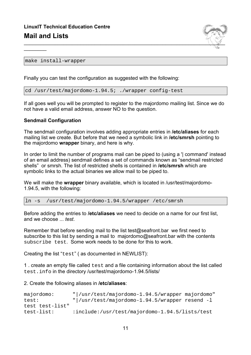# **LinuxIT Technical Education Centre Mail and Lists**



make install-wrapper

 $\frac{1}{2}$ 

Finally you can test the configuration as suggested with the following:

cd /usr/test/majordomo-1.94.5; ./wrapper config-test

If all goes well you will be prompted to register to the majordomo mailing list. Since we do not have a valid email address, answer NO to the question.

### **Sendmail Configuration**

The sendmail configuration involves adding appropriate entries in **/etc/aliases** for each mailing list we create. But before that we need a symbolic link in **/etc/smrsh** pointing to the majordomo **wrapper** binary, and here is why.

In order to limit the number of programs mail can be piped to (using a '| command' instead of an email address) sendmail defines a set of commands known as "sendmail restricted shells" or smrsh. The list of restricted shells is contained in **/etc/smrsh** which are symbolic links to the actual binaries we allow mail to be piped to.

We will make the **wrapper** binary available, which is located in /usr/test/majordomo-1.94.5, with the following:

```
ln -s /usr/test/majordomo-1.94.5/wrapper /etc/smrsh
```
Before adding the entries to **/etc/aliases** we need to decide on a name for our first list, and we choose ... *test*.

Remember that before sending mail to the list test@seafront.bar we first need to subscribe to this list by sending a mail to majordomo@seafront.bar with the contents subscribe test. Some work needs to be done for this to work.

Creating the list "test" ( as documented in NEWLIST):

1 . create an empty file called test and a file containing information about the list called test.info in the directory /usr/test/majordomo-1.94.5/lists/

2. Create the following aliases in **/etc/aliases**:

| majordomo:      | "   /usr/test/majordomo-1.94.5/wrapper majordomo" |
|-----------------|---------------------------------------------------|
| test:           | " /usr/test/majordomo-1.94.5/wrapper resend -1    |
| test test-list" |                                                   |
| $test-list:$    | $:include://usr-test/majordomo-1.94.5/lists/test$ |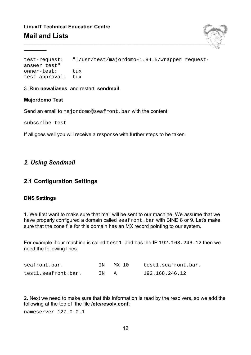# **LinuxIT Technical Education Centre Mail and Lists**



test-request: "|/usr/test/majordomo-1.94.5/wrapper requestanswer test" owner-test: tux test-approval: tux

#### 3. Run **newaliases** and restart **sendmail**.

### **Majordomo Test**

 $\frac{1}{2}$ 

Send an email to majordomo@seafront.bar with the content:

subscribe test

If all goes well you will receive a response with further steps to be taken.

## *2. Using Sendmail*

## **2.1 Configuration Settings**

#### **DNS Settings**

1. We first want to make sure that mail will be sent to our machine. We assume that we have properly configured a domain called seafront.bar with BIND 8 or 9. Let's make sure that the zone file for this domain has an MX record pointing to our system.

For example if our machine is called  $test1$  and has the IP 192.168.246.12 then we need the following lines:

| seafront.bar.       |    | MX 10 | testl.seafront.bar. |
|---------------------|----|-------|---------------------|
| testl.seafront.bar. | TN |       | 192.168.246.12      |

2. Next we need to make sure that this information is read by the resolvers, so we add the following at the top of the file **/etc/resolv.conf**:

nameserver 127.0.0.1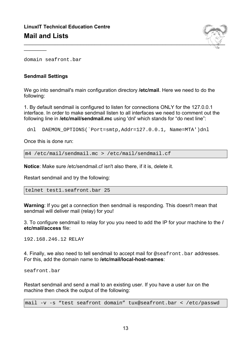

domain seafront.bar

### **Sendmail Settings**

 $\frac{1}{2}$ 

We go into sendmail's main configuration directory **/etc/mail**. Here we need to do the following:

1. By default sendmail is configured to listen for connections ONLY for the 127.0.0.1 interface. In order to make sendmail listen to all interfaces we need to comment out the following line in **/etc/mail/sendmail.mc** using 'dnl' which stands for "do next line":

dnl DAEMON\_OPTIONS(`Port=smtp,Addr=127.0.0.1, Name=MTA')dnl

Once this is done run:

m4 /etc/mail/sendmail.mc > /etc/mail/sendmail.cf

**Notice**: Make sure /etc/sendmail.cf isn't also there, if it is, delete it.

Restart sendmail and try the following:

telnet test1.seafront.bar 25

**Warning**: If you get a connection then sendmail is responding. This doesn't mean that sendmail will deliver mail (relay) for you!

3. To configure sendmail to relay for you you need to add the IP for your machine to the **/ etc/mail/access** file:

192.168.246.12 RELAY

4. Finally, we also need to tell sendmail to accept mail for @seafront.bar addresses. For this, add the domain name to **/etc/mail/local-host-names**:

seafront bar

Restart sendmail and send a mail to an existing user. If you have a user *tux* on the machine then check the output of the following:

mail -v -s "test seafront domain" tux@seafront.bar < /etc/passwd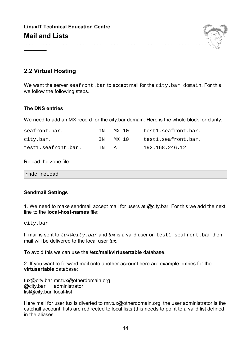

## **2.2 Virtual Hosting**

 $\frac{1}{2}$ 

We want the server seafront.bar to accept mail for the city.bar domain. For this we follow the following steps.

## **The DNS entries**

We need to add an MX record for the city.bar domain. Here is the whole block for clarity:

| seafront.bar.       | тN | MX 10 | test1.seafront.bar. |
|---------------------|----|-------|---------------------|
| city.bar.           | ТN | MX 10 | test1.seafront.bar. |
| test1.seafront.bar. | ΤN | A     | 192.168.246.12      |

Reload the zone file:

| rndc reload |  |  |  |
|-------------|--|--|--|
|             |  |  |  |

### **Sendmail Settings**

1. We need to make sendmail accept mail for users at @city.bar. For this we add the next line to the **local-host-names** file:

city.bar

If mail is sent to *tux@city.bar* and *tux* is a valid user on test1.seafront.bar then mail will be delivered to the local user *tux*.

To avoid this we can use the **/etc/mail/virtusertable** database.

2. If you want to forward mail onto another account here are example entries for the **virtusertable** database:

tux@city.bar mr.tux@otherdomain.org @city.bar administrator list@city.bar local-list

Here mail for user tux is diverted to mr.tux@otherdomain.org, the user administrator is the catchall account, lists are redirected to local lists (this needs to point to a valid list defined in the aliases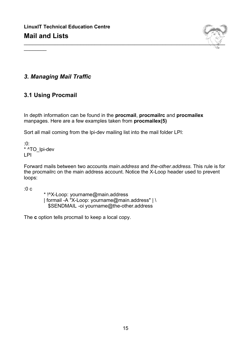

# *3. Managing Mail Traffic*

# **3.1 Using Procmail**

In depth information can be found in the **procmail**, **procmailrc** and **procmailex** manpages. Here are a few examples taken from **procmailex(5)**

Sort all mail coming from the lpi-dev mailing list into the mail folder LPI:

:0: \* ^TO\_lpi-dev LPI

 $\frac{1}{2}$ 

Forward mails between two accounts *main.address* and *the-other.address.* This rule is for the procmailrc on the main address account. Notice the X-Loop header used to prevent loops:

:0 c

 \* !^X-Loop: yourname@main.address | formail -A "X-Loop: yourname@main.address" | \ \$SENDMAIL -oi yourname@the-other.address

The **c** option tells procmail to keep a local copy.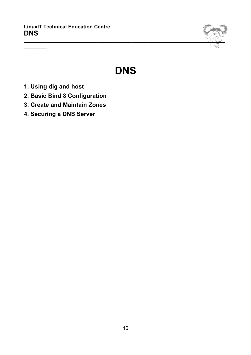

# **DNS**

**1. Using dig and host**

 $\frac{1}{2}$ 

- **2. Basic Bind 8 Configuration**
- **3. Create and Maintain Zones**
- **4. Securing a DNS Server**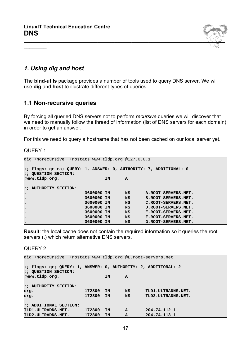

## *1. Using dig and host*

The **bind-utils** package provides a number of tools used to query DNS server. We will use **dig** and **host** to illustrate different types of queries.

## **1.1 Non-recursive queries**

By forcing all queried DNS servers not to perform *recursive* queries we will discover that we need to manually follow the thread of information (list of DNS servers for each domain) in order to get an answer.

For this we need to query a hostname that has not been cached on our local server yet.

QUERY 1

 $\frac{1}{2}$ 

| dig +norecursive +nostats www.tldp.org @127.0.0.1                                              |            |    |                     |
|------------------------------------------------------------------------------------------------|------------|----|---------------------|
| $ ;$ flags: gr ra; QUERY: 1, ANSWER: 0, AUTHORITY: 7, ADDITIONAL: 0<br>$ ;;$ QUESTION SECTION: |            |    |                     |
| ;www.tldp.org.                                                                                 | ΙN         | A  |                     |
| $  \cdot \rangle$ AUTHORITY SECTION:                                                           |            |    |                     |
| $\bullet$                                                                                      | 3600000 IN | NS | A.ROOT-SERVERS.NET. |
|                                                                                                | 3600000 IN | NS | B.ROOT-SERVERS.NET. |
| $\bullet$                                                                                      | 3600000 IN | NS | C.ROOT-SERVERS.NET. |
| $\bullet$                                                                                      | 3600000 IN | NS | D.ROOT-SERVERS.NET. |
| $\bullet$                                                                                      | 3600000 IN | NS | E.ROOT-SERVERS.NET. |
| $\bullet$                                                                                      | 3600000 IN | NS | F.ROOT-SERVERS.NET. |
| $\bullet$                                                                                      | 3600000 IN | NS | G.ROOT-SERVERS.NET. |

**Result**: the local cache does not contain the required information so it queries the root servers (.) which return alternative DNS servers.

QUERY 2

|                                                                                           | dig +norecursive +nostats www.tldp.org @L.root-servers.net |           |    |                    |  |
|-------------------------------------------------------------------------------------------|------------------------------------------------------------|-----------|----|--------------------|--|
| ;; flags: qr; QUERY: 1, ANSWER: 0, AUTHORITY: 2, ADDITIONAL: 2<br>$ ;;$ QUESTION SECTION: |                                                            |           |    |                    |  |
| ;www.tldp.org.                                                                            |                                                            | IN        | A  |                    |  |
| :: AUTHORITY SECTION:                                                                     |                                                            |           |    |                    |  |
| org.                                                                                      | 172800                                                     | <b>IN</b> | NS | TLD1.ULTRADNS.NET. |  |
| org.                                                                                      | 172800                                                     | IN        | NS | TLD2.ULTRADNS.NET. |  |
| $ ;;$ ADDITIONAL SECTION:                                                                 |                                                            |           |    |                    |  |
| TLD1.ULTRADNS.NET.                                                                        | 172800                                                     | <b>IN</b> | A  | 204.74.112.1       |  |
| TLD2.ULTRADNS.NET.                                                                        | 172800                                                     | <b>IN</b> | A  | 204.74.113.1       |  |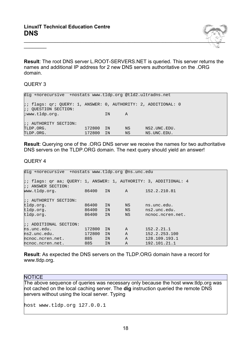

**Result**: The root DNS server L.ROOT-SERVERS.NET is queried. This server returns the names and additional IP address for 2 new DNS servers authoritative on the .ORG domain.

#### QUERY 3

 $\frac{1}{2}$ 

| $ i$ ; flags: qr; QUERY: 1, ANSWER: 0, AUTHORITY: 2, ADDITIONAL: 0<br><i>::</i> OUESTION SECTION: |        |    |              |              |
|---------------------------------------------------------------------------------------------------|--------|----|--------------|--------------|
| <i>iwww.tldp.org.</i>                                                                             |        | ΙN | $\mathbf{A}$ |              |
| :: AUTHORITY SECTION:                                                                             |        |    |              |              |
| TLDP.ORG.                                                                                         | 172800 | IN | NS.          | NS2.UNC.EDU. |
| TLDP.ORG.                                                                                         | 172800 | IN | <b>NS</b>    | NS.UNC.EDU.  |

**Result**: Querying one of the .ORG DNS server we receive the names for two authoritative DNS servers on the TLDP.ORG domain. The next query should yield an answer!

#### QUERY 4

| dig +norecursive +nostats www.tldp.org @ns.unc.edu                                                 |        |    |                |                  |
|----------------------------------------------------------------------------------------------------|--------|----|----------------|------------------|
| $ i$ ; flags: gr aa; OUERY: 1, ANSWER: 1, AUTHORITY: 3, ADDITIONAL: 4<br><i>i:</i> ANSWER SECTION: |        |    |                |                  |
| www.tldp.org.                                                                                      | 86400  | IN | A              | 152.2.210.81     |
| :: AUTHORITY SECTION:                                                                              |        |    |                |                  |
| tldp.org.                                                                                          | 86400  | IN | NS.            | ns.unc.edu.      |
| tldp.org.                                                                                          | 86400  | IN | NS             | ns2.unc.edu.     |
| tldp.org.                                                                                          | 86400  | IN | NS.            | ncnoc.ncren.net. |
| $ i;$ ADDITIONAL SECTION:                                                                          |        |    |                |                  |
| ns.unc.edu.                                                                                        | 172800 | IN | $\overline{A}$ | 152.2.21.1       |
| ns2.unc.edu.                                                                                       | 172800 | IN | $\mathbf{A}$   | 152.2.253.100    |
| ncnoc.ncren.net.                                                                                   | 885    | IN | $\overline{A}$ | 128.109.193.1    |
| ncnoc.ncren.net.                                                                                   | 885    | IN | $\overline{A}$ | 192.101.21.1     |

**Result**: As expected the DNS servers on the TLDP.ORG domain have a record for www.tldp.org.

### **NOTICE**

The above sequence of queries was necessary only because the host www.tldp.org was not cached on the local caching server. The **dig** instruction queried the remote DNS servers without using the local server. Typing

host www.tldp.org 127.0.0.1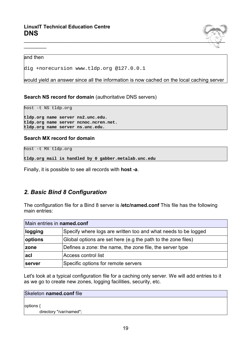

#### and then

 $\frac{1}{2}$ 

```
dig +norecursion www.tldp.org @127.0.0.1
```
would yield an answer since all the information is now cached on the local caching server

**Search NS record for domain** (authoritative DNS servers)

```
host -t NS tldp.org
tldp.org name server ns2.unc.edu.
tldp.org name server ncnoc.ncren.net.
```
# **tldp.org name server ns.unc.edu.**

## **Search MX record for domain**

host -t MX tldp.org

**tldp.org mail is handled by 0 gabber.metalab.unc.edu**

Finally, it is possible to see all records with **host -a**.

## *2. Basic Bind 8 Configuration*

The configuration file for a Bind 8 server is **/etc/named.conf** This file has the following main entries:

| Main entries in named.conf                                                |                                                              |  |  |  |
|---------------------------------------------------------------------------|--------------------------------------------------------------|--|--|--|
| Specify where logs are written too and what needs to be logged<br>logging |                                                              |  |  |  |
| options                                                                   | Global options are set here (e.g the path to the zone files) |  |  |  |
| Defines a zone: the name, the zone file, the server type<br><b>zone</b>   |                                                              |  |  |  |
| acl<br>Access control list                                                |                                                              |  |  |  |
| <b>server</b>                                                             | Specific options for remote servers                          |  |  |  |

Let's look at a typical configuration file for a caching only server. We will add entries to it as we go to create new zones, logging facilities, security, etc.

Skeleton **named.conf** file options { directory "/var/named";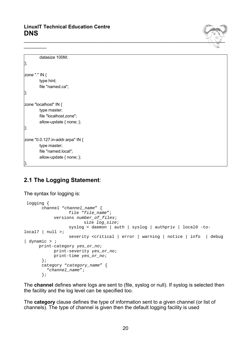## **LinuxIT Technical Education Centre DNS**



```
datasize 100M;
};
zone "." IN {
        type hint;
        file "named.ca";
};
zone "localhost" IN {
        type master;
        file "localhost.zone";
        allow-update { none; };
};
zone "0.0.127.in-addr.arpa" IN {
        type master;
        file "named.local";
        allow-update { none; };
};
```
 $\frac{1}{2}$ 

# **2.1 The Logging Statement**:

The syntax for logging is:

```
logging {
      channel "channel name" {
                file "file name";
           versions number_of_files;
                       size log_size;
                 syslog < daemon | auth | syslog | authpriv | local0 -to-
local7 | null > iseverity <critical | error | warning | notice | info | debug
| dynamic > ;
     print-category yes_or_no;
           print-severity yes_or_no;
           print-time yes_or_no;
       };
      category "category name" {
         "channel_name";
       };
```
The **channel** defines where logs are sent to (file, syslog or null). If syslog is selected then the facility and the log level can be specified too.

The **category** clause defines the type of information sent to a given channel (or list of channels). The type of channel is given then the default logging facility is used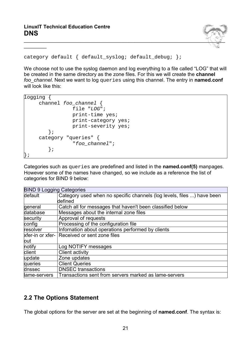$\frac{1}{2}$ 



```
category default { default_syslog; default_debug; };
```
We choose not to use the syslog daemon and log everything to a file called "LOG" that will be created in the same directory as the zone files. For this we will create the **channel** *foo\_channel*. Next we want to log queries using this channel. The entry in **named.conf** will look like this:

```
logging {
     channel foo_channel {
                  file "LOG";
                  print-time yes;
                  print-category yes;
                  print-severity yes;
          };
     category "queries" {
                   "foo_channel";
          };
 };
```
Categories such as queries are predefined and listed in the **named.conf(5)** manpages. However some of the names have changed, so we include as a reference the list of categories for BIND 9 below:

| <b>BIND 9 Logging Categories</b> |                                                                        |
|----------------------------------|------------------------------------------------------------------------|
| default                          | Category used when no specific channels (log levels, files ) have been |
|                                  | defined                                                                |
| general                          | Catch all for messages that haven't been classified below              |
| database                         | Messages about the internal zone files                                 |
| security                         | Approval of requests                                                   |
| config                           | Processing of the configuration file                                   |
| resolver                         | Infornation about operations performed by clients                      |
|                                  | xfer-in or xfer- Received or sent zone files                           |
| lout                             |                                                                        |
| notify                           | Log NOTIFY messages                                                    |
| client                           | Client activity                                                        |
| update                           | Zone updates                                                           |
| queries                          | <b>Client Queries</b>                                                  |
| dnssec                           | <b>DNSEC</b> transactions                                              |
| lame-servers                     | Transactions sent from servers marked as lame-servers                  |

# **2.2 The Options Statement**

The global options for the server are set at the beginning of **named.conf**. The syntax is: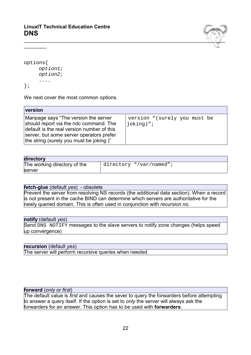

```
options{
     option1;
     option2;
     ....
};
```
 $\frac{1}{2}$ 

We next cover the most common options.

| version                                                                                                                                                                                                             |                                              |
|---------------------------------------------------------------------------------------------------------------------------------------------------------------------------------------------------------------------|----------------------------------------------|
| Manpage says "The version the server<br>should report via the ndc command. The<br>default is the real version number of this<br>server, but some server operators prefer<br>the string (surely you must be joking)" | version "(surely you must be<br>$j$ oking)"; |

| directory                    |                         |
|------------------------------|-------------------------|
| The working directory of the | directory "/var/named"; |
| server                       |                         |

### **fetch-glue** (default *yes*) - obsolete

Prevent the server from resolving NS records (the additional data section). When a record is not present in the cache BIND can determine which servers are authoritative for the newly queried domain. This is often used in conjunction with *recursion no*.

#### **notify** (default *yes*)

Send DNS NOTIFY messages to the slave servers to notify zone changes (helps speed up convergence)

### **recursion** (default *yes*)

The server will perform recursive queries when needed

#### **forward** (*only* or *first*)

The default value is *first* and causes the sever to query the forwarders before attempting to answer a query itself. If the option is set to *only* the server will always ask the forwarders for an answer. This option has to be used with **forwarders**.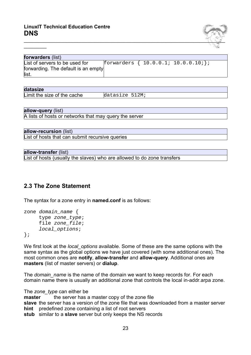

| forwarders (list)                   |  |                                         |
|-------------------------------------|--|-----------------------------------------|
| List of servers to be used for      |  | forwarders $\{ 10.0.0.1; 10.0.0.10; \}$ |
| forwarding. The default is an empty |  |                                         |
| list.                               |  |                                         |

| datasize                    |                |
|-----------------------------|----------------|
| Limit the size of the cache | datasize 512M; |

**allow-query** (list) A lists of hosts or networks that may query the server

**allow-recursion** (list)

 $\frac{1}{2}$ 

List of hosts that can submit recursive queries

**allow-transfer** (list)

List of hosts (usually the slaves) who are allowed to do zone transfers

# **2.3 The Zone Statement**

The syntax for a zone entry in **named.conf** is as follows:

```
zone domain_name {
     type zone type;
     file zone_file;
     local options;
};
```
We first look at the *local\_options* available. Some of these are the same options with the same syntax as the global options we have just covered (with some additional ones). The most common ones are **notify**, **allow-transfer** and **allow-query**. Additional ones are **masters** (list of master servers) or **dialup**.

The *domain* name is the name of the domain we want to keep records for. For each domain name there is usually an additional zone that controls the local in-addr.arpa zone.

The *zone\_type* can either be

**master** the server has a master copy of the zone file **slave** the server has a version of the zone file that was downloaded from a master server **hint** predefined zone containing a list of root servers

**stub** similar to a **slave** server but only keeps the NS records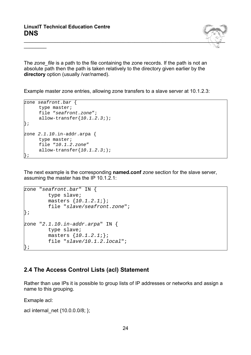$\frac{1}{2}$ 



The *zone\_file* is a path to the file containing the zone records. If the path is not an absolute path then the path is taken relatively to the directory given earlier by the **directory** option (usually /var/named).

Example master zone entries, allowing zone transfers to a slave server at 10.1.2.3:

```
zone seafront.bar {
    type master;
     file "seafront.zone";
     allow-transfer\{10.1.2.3i\};
};
zone 2.1.10.in-addr.arpa {
     type master;
     file "10.1.2.zone"
     allow-transfer\{10.1.2.3\};
};
```
The next example is the corresponding **named.conf** *zone* section for the slave server, assuming the master has the IP 10.1.2.1:

```
zone "seafront.bar" IN {
         type slave;
         masters {10.1.2.1;};
         file "slave/seafront.zone";
};
zone "2.1.10.in-addr.arpa" IN {
         type slave;
        masters \{10.1.2.1i\};
         file "slave/10.1.2.local";
};
```
## **2.4 The Access Control Lists (acl) Statement**

Rather than use IPs it is possible to group lists of IP addresses or networks and assign a name to this grouping.

Exmaple acl:

acl internal net {10.0.0.0/8; };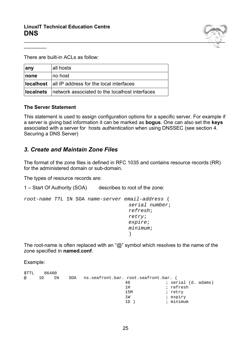

There are built-in ACLs as follow:

| <b>any</b>                                               | all hosts                                                       |
|----------------------------------------------------------|-----------------------------------------------------------------|
| none                                                     | no host                                                         |
| <b>localhost</b> all IP address for the local interfaces |                                                                 |
|                                                          | <b>localnets</b> network associated to the localhost interfaces |

### **The Server Statement**

 $\frac{1}{2}$ 

This statement is used to assign configuration options for a specific server. For example if a server is giving bad information it can be marked as **bogus**. One can also set the **keys** associated with a server for hosts *authentication* when using DNSSEC (see section 4. Securing a DNS Server)

## *3. Create and Maintain Zone Files*

The format of the zone files is defined in RFC 1035 and contains resource records (RR) for the administered domain or sub-domain.

The types of resource records are:

1 – Start Of Authority (SOA) describes to root of the zone:

```
root-name TTL IN SOA name-server email-address (
                                     serial number;
                                     refresh;
                                     retry;
                                     expire;
                                     minimum;
                                     \lambda
```
The root-name is often replaced with an "@" symbol which resolves to the name of the zone specified in **named.conf**.

Example:

| STTL                 | 86400 |    |     |                                       |     |                     |  |
|----------------------|-------|----|-----|---------------------------------------|-----|---------------------|--|
| $^{\textregistered}$ | 1D    | ΙN | SOA | ns.seafront.bar. root.seafront.bar. ( |     |                     |  |
|                      |       |    |     |                                       | 46  | ; serial (d. adams) |  |
|                      |       |    |     |                                       | 1H  | ; refresh           |  |
|                      |       |    |     |                                       | 15M | ; retry             |  |
|                      |       |    |     |                                       | 1W  | ; expiry            |  |
|                      |       |    |     |                                       | 1 D | minimum             |  |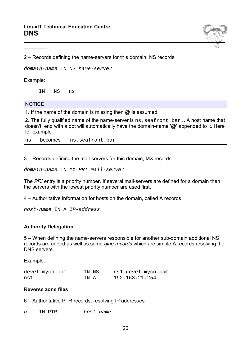

2 – Records defining the name-servers for this domain, NS records

domain-name IN NS name-server

Example:

 $\frac{1}{2}$ 

IN NS ns

#### **NOTICE**

1. If the name of the domain is missing then @ is assumed

2. The fully qualified name of the name-server is ns. seafront. bar.. A host name that doesn't end with a dot will automatically have the domain-name '@' appended to it. Here for example

ns becomes ns.seafront.bar.

3 – Records defining the mail-servers for this domain, MX records

domain-name IN MX PRI mail-server

The *PRI* entry is a priority number. If several mail-servers are defined for a domain then the servers with the lowest priority number are used first.

4 – Authoritative information for hosts on the domain, called A records

host-name IN A IP-address

#### **Authority Delegation**

5 – When defining the name-servers responsible for another sub-domain additional NS records are added as well as some *glue records* which are simple A records resolving the DNS servers.

Example:

| devel.myco.com |      | IN NS | ns1.devel.myco.com |
|----------------|------|-------|--------------------|
| ns1            | TN A |       | 192.168.21.254     |

#### **Reverse zone files**:

6 – Authoritative PTR records, resolving IP addresses

n IN PTR host-name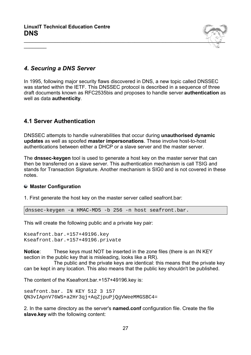

## *4. Securing a DNS Server*

 $\frac{1}{2}$ 

In 1995, following major security flaws discovered in DNS, a new topic called DNSSEC was started within the IETF. This DNSSEC protocol is described in a sequence of three draft documents known as RFC2535bis and proposes to handle server **authentication** as well as data **authenticity**.

## **4.1 Server Authentication**

DNSSEC attempts to handle vulnerabilities that occur during **unauthorised dynamic updates** as well as spoofed **master impersonations**. These involve host-to-host authentications between either a DHCP or a slave server and the master server.

The **dnssec-keygen** tool is used to generate a host key on the master server that can then be transferred on a slave server. This authentication mechanism is call TSIG and stands for Transaction Signature. Another mechanism is SIG0 and is not covered in these notes.

## **Master Configuration**

1. First generate the host key on the master server called seafront.bar:

dnssec-keygen -a HMAC-MD5 -b 256 -n host seafront.bar.

This will create the following public and a private key pair:

Kseafront.bar.+157+49196.key Kseafront.bar.+157+49196.private

**Notice**: These keys must NOT be inserted in the zone files (there is an IN KEY section in the public key that is misleading, looks like a RR).

The public and the private keys are identical: this means that the private key can be kept in any location. This also means that the public key shouldn't be published.

The content of the Kseafront.bar.+157+49196.key is:

seafront.bar. IN KEY 512 3 157 QN3vIApnV76WS+a2Hr3qj+AqZjpuPjQgVWeeMMGSBC4=

2. In the same directory as the server's **named.conf** configuration file. Create the file **slave.key** with the following content: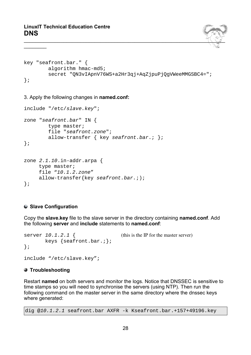$\frac{1}{2}$ 



```
key "seafront.bar." {
         algorithm hmac-md5;
         secret "QN3vIApnV76WS+a2Hr3qj+AqZjpuPjQgVWeeMMGSBC4=";
};
```
3. Apply the following changes in **named.conf:**

```
include "/etc/slave.key";
zone "seafront.bar" IN {
         type master;
          file "seafront.zone";
         allow-transfer \{ \text{key} \text{ search}.\text{bar.}; \}};
zone 2.1.10.in-addr.arpa {
     type master;
     file "10.1.2.zone"
     allow-transfer{key seafront.bar.;);
};
```
## **Slave Configuration**

Copy the **slave.key** file to the slave server in the directory containing **named.conf**. Add the following **server** and **include** statements to **named.conf**:

```
server 10.1.2.1 { (this is the IP for the master server)
       keys \{searchontbar.; \};
};
include "/etc/slave.key";
```
## $\bullet$  **Troubleshooting**

Restart **named** on both servers and monitor the logs. Notice that DNSSEC is sensitive to time stamps so you will need to synchronise the servers (using NTP). Then run the following command on the master server in the same directory where the dnssec keys where generated:

dig @10.1.2.1 seafront.bar AXFR -k Kseafront.bar.+157+49196.key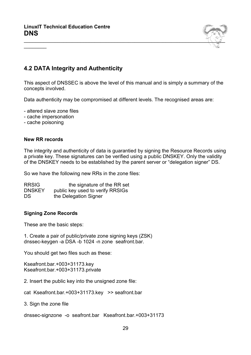

# **4.2 DATA Integrity and Authenticity**

This aspect of DNSSEC is above the level of this manual and is simply a summary of the concepts involved.

Data authenticity may be compromised at different levels. The recognised areas are:

- altered slave zone files
- cache impersonation
- cache poisoning

 $\frac{1}{2}$ 

#### **New RR records**

The integrity and authenticity of data is guarantied by signing the Resource Records using a private key. These signatures can be verified using a public DNSKEY. Only the validity of the DNSKEY needs to be established by the parent server or "delegation signer" DS.

So we have the following new RRs in the zone files:

RRSIG the signature of the RR set DNSKEY public key used to verify RRSIGs DS the Delegation Signer

### **Signing Zone Records**

These are the basic steps:

1. Create a pair of public/private zone signing keys (ZSK) dnssec-keygen -a DSA -b 1024 -n zone seafront.bar.

You should get two files such as these:

Kseafront.bar.+003+31173.key Kseafront.bar.+003+31173.private

2. Insert the public key into the unsigned zone file:

cat Kseafront.bar.+003+31173.key >> seafront.bar

3. Sign the zone file

dnssec-signzone -o seafront.bar Kseafront.bar.+003+31173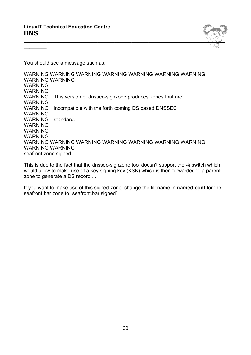

You should see a message such as:

 $\frac{1}{2}$ 

WARNING WARNING WARNING WARNING WARNING WARNING WARNING WARNING WARNING WARNING WARNING WARNING This version of dnssec-signzone produces zones that are WARNING WARNING incompatible with the forth coming DS based DNSSEC WARNING WARNING standard. WARNING WARNING WARNING WARNING WARNING WARNING WARNING WARNING WARNING WARNING WARNING WARNING seafront.zone.signed

This is due to the fact that the dnssec-signzone tool doesn't support the **-k** switch which would allow to make use of a key signing key (KSK) which is then forwarded to a parent zone to generate a DS record ...

If you want to make use of this signed zone, change the filename in **named.conf** for the seafront.bar zone to "seafront.bar.signed"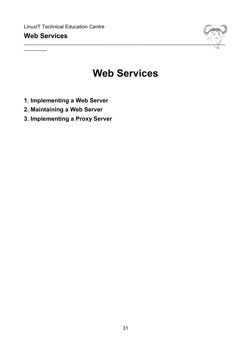$\frac{1}{2}$ 



# **Web Services**

- **1. Implementing a Web Server**
- **2. Maintaining a Web Server**
- **3. Implementing a Proxy Server**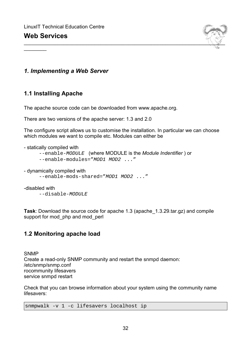$\frac{1}{2}$ 



## *1. Implementing a Web Server*

# **1.1 Installing Apache**

The apache source code can be downloaded from www.apache.org.

There are two versions of the apache server: 1.3 and 2.0

The configure script allows us to customise the installation. In particular we can choose which modules we want to compile etc. Modules can either be

- statically compiled with

--enable-MODULE (where MODULE is the *Module Indentifier* ) or --enable-modules="MOD1 MOD2 ..."

- dynamically compiled with
	- --enable-mods-shared="MOD1 MOD2 ..."

-disabled with --disable-MODULE

**Task**: Download the source code for apache 1.3 (apache\_1.3.29.tar.gz) and compile support for mod php and mod perl

## **1.2 Monitoring apache load**

**SNMP** Create a read-only SNMP community and restart the snmpd daemon: /etc/snmp/snmp.conf rocommunity lifesavers service snmpd restart

Check that you can browse information about your system using the community name lifesavers:

snmpwalk -v 1 -c lifesavers localhost ip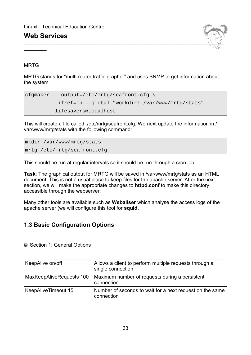

**MRTG** 

 $\frac{1}{2}$ 

MRTG stands for "multi-router traffic grapher" and uses SNMP to get information about the system.

```
cfgmaker --output=/etc/mrtg/seafront.cfg \
           -ifref=ip --global "workdir: /var/www/mrtg/stats"
         lifesavers@localhost
```
This will create a file called /etc/mrtg/seafront.cfg. We next update the information in / var/www/mrtg/stats with the following command:

```
mkdir /var/www/mrtg/stats
mrtg /etc/mrtg/seafront.cfg
```
This should be run at regular intervals so it should be run through a cron job.

**Task**: The graphical output for MRTG will be saved in /var/www/mrtg/stats as an HTML document. This is not a usual place to keep files for the apache server. After the next section, we will make the appropriate changes to **httpd.conf** to make this directory accessible through the webserver.

Many other tools are available such as **Webaliser** which analyse the access logs of the apache server (we will configure this tool for **squid**.

# **1.3 Basic Configuration Options**

● Section 1: General Options

| KeepAlive on/off         | Allows a client to perform multiple requests through a<br>single connection |
|--------------------------|-----------------------------------------------------------------------------|
| MaxKeepAliveRequests 100 | Maximum number of requests during a persistent<br>connection                |
| KeepAliveTimeout 15      | Number of seconds to wait for a next request on the same<br>connection      |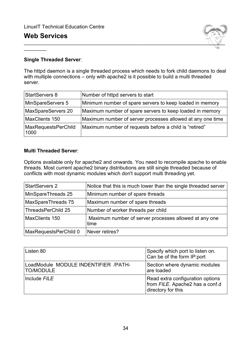$\frac{1}{2}$ 



## **Single Threaded Server**:

The httpd daemon is a single threaded process which needs to fork child daemons to deal with multiple connections – only with apache2 is it possible to build a multi threaded server.

| <b>StartServers 8</b>              | Number of httpd servers to start                           |
|------------------------------------|------------------------------------------------------------|
| MinSpareServers 5                  | Minimum number of spare servers to keep loaded in memory   |
| MaxSpareServers 20                 | Maximum number of spare servers to keep loaded in memory   |
| MaxClients 150                     | Maximum number of server processes allowed at any one time |
| <b>MaxRequestsPerChild</b><br>1000 | Maximum number of requests before a child is "retired"     |

### **Multi Threaded Server**:

Options available only for apache2 and onwards. You need to recompile apache to enable threads. Most current apache2 binary distributions are still single threaded because of conflicts with most dynamic modules which don't support multi threading yet.

| <b>StartServers 2</b> | Notice that this is much lower than the single threaded server |
|-----------------------|----------------------------------------------------------------|
| MinSpareThreads 25    | Minimum number of spare threads                                |
| MaxSpareThreads 75    | Maximum number of spare threads                                |
| ThreadsPerChild 25    | Number of worker threads per child                             |
| MaxClients 150        | Maximum number of server processes allowed at any one<br>time  |
| MaxRequestsPerChild 0 | Never retires?                                                 |

| Listen 80                                                 | Specify which port to listen on.<br>Can be of the form IP:port                            |
|-----------------------------------------------------------|-------------------------------------------------------------------------------------------|
| LoadModule MODULE INDENTIFIER / PATH-<br><b>TO/MODULE</b> | Section where dynamic modules<br>are loaded                                               |
| Include FILE                                              | Read extra configuration options<br>from FILE. Apache2 has a conf.d<br>directory for this |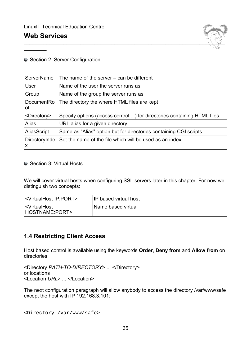$\frac{1}{2}$ 



## Section 2 : Server Configuration

| <b>ServerName</b>       | The name of the server $-$ can be different                             |
|-------------------------|-------------------------------------------------------------------------|
| User                    | Name of the user the server runs as                                     |
| Group                   | Name of the group the server runs as                                    |
| DocumentRo<br>ot        | The directory the where HTML files are kept                             |
| <directory></directory> | Specify options (access control,) for directories containing HTML files |
| <b>Alias</b>            | URL alias for a given directory                                         |
| AliasScript             | Same as "Alias" option but for directories containing CGI scripts       |
| DirectoryInde<br>X      | Set the name of the file which will be used as an index                 |

## ● Section 3: Virtual Hosts

We will cover virtual hosts when configuring SSL servers later in this chapter. For now we distinguish two concepts:

| <virtualhost ip:port=""></virtualhost>             | IP based virtual host           |
|----------------------------------------------------|---------------------------------|
| <virtualhost<br>HOSTNAME:PORT&gt;</virtualhost<br> | <sup>1</sup> Name based virtual |

# **1.4 Restricting Client Access**

Host based control is available using the keywords **Order**, **Deny from** and **Allow from** on directories

<Directory *PATH-TO-DIRECTORY*> ... </Directory> or locations <Location *URL*> ... </Location>

The next configuration paragraph will allow anybody to access the directory /var/www/safe except the host with IP 192.168.3.101:

<Directory /var/www/safe>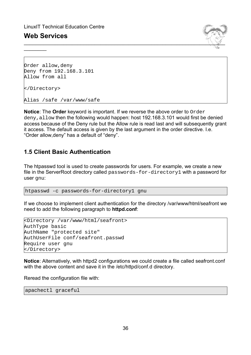$\frac{1}{2}$ 



Order allow,deny Deny from 192.168.3.101 Allow from all </Directory>

Alias /safe /var/www/safe

**Notice**: The **Order** keyword is important. If we reverse the above order to Order deny,allow then the following would happen: host 192.168.3.101 would first be denied access because of the Deny rule but the Allow rule is read last and will subsequently grant it access. The default access is given by the last argument in the order directive. I.e. "Order allow,deny" has a default of "deny".

## **1.5 Client Basic Authentication**

The htpasswd tool is used to create passwords for users. For example, we create a new file in the ServerRoot directory called passwords-for-directory1 with a password for user gnu:

htpasswd -c passwords-for-directory1 gnu

If we choose to implement client authentication for the directory /var/www/html/seafront we need to add the following paragraph to **httpd.conf**:

```
<Directory /var/www/html/seafront>
AuthType basic
AuthName "protected site"
AuthUserFile conf/seafront.passwd
Require user gnu 
</Directory>
```
**Notice:** Alternatively, with httpd2 configurations we could create a file called seafront.conf with the above content and save it in the /etc/httpd/conf.d directory.

Reread the configuration file with:

apachectl graceful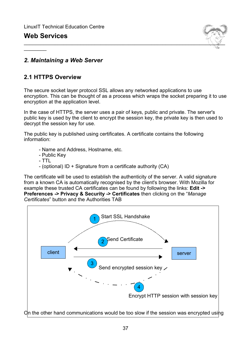$\frac{1}{2}$ 



# *2. Maintaining a Web Server*

# **2.1 HTTPS Overview**

The secure socket layer protocol SSL allows any networked applications to use encryption. This can be thought of as a process which wraps the socket preparing it to use encryption at the application level.

In the case of HTTPS, the server uses a pair of keys, public and private. The server's public key is used by the client to encrypt the session key, the private key is then used to decrypt the session key for use.

The public key is published using certificates. A certificate contains the following information:

- Name and Address, Hostname, etc.
- Public Key
- $-$  TTL  $-$
- (optional) ID + Signature from a certificate authority (CA)

The certificate will be used to establish the authenticity of the server. A valid signature from a known CA is automatically recognised by the client's browser. With Mozilla for example these trusted CA certificates can be found by following the links: **Edit -> Preferences -> Privacy & Security -> Certificates** then clicking on the "*Manage Certificates*" button and the Authorities TAB

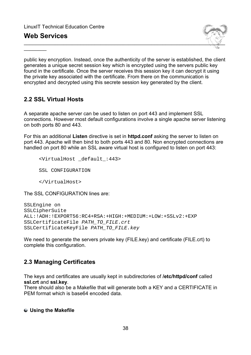$\frac{1}{2}$ 



public key encryption. Instead, once the authenticity of the server is established, the client generates a unique secret session key which is encrypted using the servers public key found in the certificate. Once the server receives this session key it can decrypt it using the private key associated with the certificate. From there on the communication is encrypted and decrypted using this secrete session key generated by the client.

# **2.2 SSL Virtual Hosts**

A separate apache server can be used to listen on port 443 and implement SSL connections. However most default configurations involve a single apache server listening on both ports 80 and 443.

For this an additional **Listen** directive is set in **httpd.conf** asking the server to listen on port 443. Apache will then bind to both ports 443 and 80. Non encrypted connections are handled on port 80 while an SSL aware virtual host is configured to listen on port 443:

<VirtualHost \_default\_:443> SSL CONFIGURATION

</VirtualHost>

The SSL CONFIGURATION lines are:

```
SSLEngine on
SSLCipherSuite
ALL:!ADH:!EXPORT56:RC4+RSA:+HIGH:+MEDIUM:+LOW:+SSLv2:+EXP
SSLCertificateFile PATH_TO_FILE.crt
SSLCertificateKeyFile PATH_TO_FILE.key
```
We need to generate the servers private key (FILE.key) and certificate (FILE.crt) to complete this configuration.

# **2.3 Managing Certificates**

The keys and certificates are usually kept in subdirectories of **/etc/httpd/conf** called **ssl.crt** and **ssl.key**.

There should also be a Makefile that will generate both a KEY and a CERTIFICATE in PEM format which is base64 encoded data.

#### **Using the Makefile**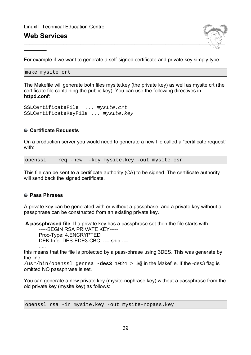$\frac{1}{2}$ 



For example if we want to generate a self-signed certificate and private key simply type:

make mysite.crt

The Makefile will generate both files mysite.key (the private key) as well as mysite.crt (the certificate file containing the public key). You can use the following directives in **httpd.conf**:

```
SSLCertificateFile ... mysite.crt
SSLCertificateKeyFile ... mysite.key
```
#### **Certificate Requests**

On a production server you would need to generate a new file called a "certificate request" with:

openssl req -new -key mysite.key -out mysite.csr

This file can be sent to a certificate authority (CA) to be signed. The certificate authority will send back the signed certificate.

#### **Pass Phrases**

A private key can be generated with or without a passphase, and a private key without a passphrase can be constructed from an existing private key.

**A passphrased file**: If a private key has a passphrase set then the file starts with -----BEGIN RSA PRIVATE KEY----- Proc-Type: 4,ENCRYPTED

DEK-Info: DES-EDE3-CBC, ---- snip ----

.....

this means that the file is protected by a pass-phrase using 3DES. This was generate by the line

/usr/bin/openssl genrsa **-des3** 1024 > \$@ in the Makefile. If the -des3 flag is omitted NO passphrase is set.

You can generate a new private key (mysite-nophrase.key) without a passphrase from the old private key (mysite.key) as follows:

openssl rsa -in mysite.key -out mysite-nopass.key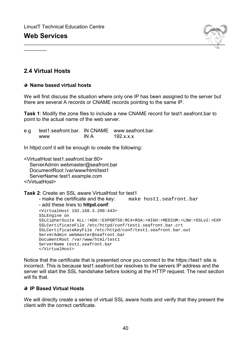$\frac{1}{2}$ 



### **2.4 Virtual Hosts**

#### **Name based virtual hosts**

We will first discuss the situation where only one IP has been assigned to the server but there are several A records or CNAME records pointing to the same IP.

**Task 1**: Modify the zone files to include a new CNAME record for test1.seafront.bar to point to the actual name of the web server.

| e.g | test1.seafront.bar. IN CNAME www.seafront.bar. |      |           |
|-----|------------------------------------------------|------|-----------|
|     | <b>WWW</b>                                     | IN A | 192.x.x.x |

In httpd.conf it will be enough to create the following:

<VirtualHost test1.seafront.bar:80> ServerAdmin webmaster@seafront.bar DocumentRoot /var/www/html/test1 ServerName test1.example.com </VirtualHost>

**Task 2**: Create an SSL aware VirtualHost for test1

- make the certificate and the key: make host1.seafront.bar

- add these lines to **httpd.conf**:

```
<VirtualHost 192.168.3.200:443>
SSLEngine on
SSLCipherSuite ALL:!ADH:!EXPORT56:RC4+RSA:+HIGH:+MEDIUM:+LOW:+SSLv2:+EXP
SSLCertificateFile /etc/httpd/conf/test1.seafront.bar.crt
SSLCertificateKeyFile /etc/httpd/conf/test1.seafront.bar.out
ServerAdmin webmaster@seafront.bar
DocumentRoot /var/www/html/test1
ServerName test1.seafront.bar
</VirtualHost>
```
Notice that the certificate that is presented once you connect to the https://test1 site is incorrect. This is because test1.seafront.bar resolves to the servers IP address and the server will start the SSL handshake before looking at the HTTP request. The next section will fix that.

#### **IP Based Virtual Hosts**

We will directly create a series of virtual SSL aware hosts and verify that they present the client with the correct certificate.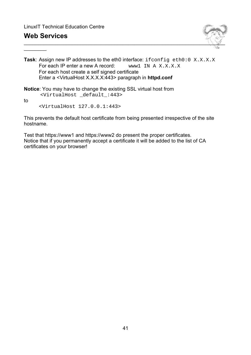$\frac{1}{2}$ 



**Task**: Assign new IP addresses to the eth0 interface: ifconfig eth0:0 X.X.X.X For each IP enter a new A record: www1 IN A X.X.X.X For each host create a self signed certificate Enter a <VirtualHost X.X.X.X:443> paragraph in **httpd.conf**

**Notice**: You may have to change the existing SSL virtual host from <VirtualHost \_default\_:443>

to

<VirtualHost 127.0.0.1:443>

This prevents the default host certificate from being presented irrespective of the site hostname.

Test that https://www1 and https://www2 do present the proper certificates. Notice that if you permanently accept a certificate it will be added to the list of CA certificates on your browser!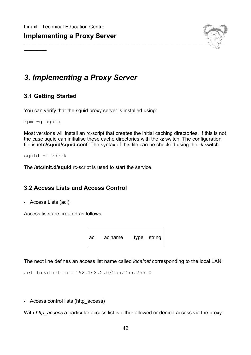

# *3. Implementing a Proxy Server*

# **3.1 Getting Started**

You can verify that the squid proxy server is installed using:

rpm -q squid

 $\frac{1}{2}$ 

Most versions will install an rc-script that creates the initial caching directories. If this is not the case squid can initialise these cache directories with the **-z** switch. The configuration file is **/etc/squid/squid.conf**. The syntax of this file can be checked using the **-k** switch:

squid -k check

The **/etc/init.d/squid** rc-script is used to start the service.

### **3.2 Access Lists and Access Control**

• Access Lists (acl):

Access lists are created as follows:



The next line defines an access list name called *localnet* corresponding to the local LAN:

acl localnet src 192.168.2.0/255.255.255.0

• Access control lists (http\_access)

With *http* access a particular access list is either allowed or denied access via the proxy.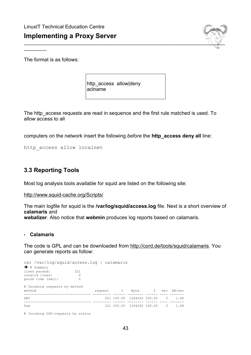

The format is as follows:

 $\frac{1}{2}$ 

http access allow|deny aclname

The http\_access requests are read in sequence and the first rule matched is used. To allow access to all

computers on the network insert the following *before* the **http\_access deny all** line:

http access allow localnet

# **3.3 Reporting Tools**

Most log analysis tools available for squid are listed on the following site:

#### http://www.squid-cache.org/Scripts/

The main logfile for squid is the **/var/log/squid/access.log** file. Next is a short overview of **calamaris** and

**webalizer**. Also notice that **webmin** produces log reports based on calamaris.

#### • **Calamaris**

The code is GPL and can be downloaded from http://cord.de/tools/squid/calamaris. You can generate reports as follow:

cat /var/log/squid/access.log | calamaris ➔ # Summary lines parsed: 221 invalid lines: 0<br>
parse time (sec): 0 parse time (sec): # Incoming requests by method method request % Byte % sec kB/sec --------------------------------- --------- ------ -------- ------ ---- ------- 221 100.00 1244262 100.00 --------------------------------- --------- ------ -------- ------ ---- ------- Sum 221 100.00 1244262 100.00 3 1.68

# Incoming UDP-requests by status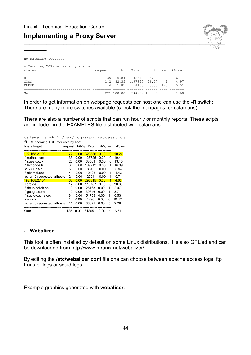# **Implementing a Proxy Server**



no matching requests

 $\frac{1}{2}$ 

| # Incoming TCP-requests by status<br>status |  | request & Byte & sec kB/sec      |          |      |
|---------------------------------------------|--|----------------------------------|----------|------|
| HIT                                         |  | 35 15.84 42314 3.40 0            |          | 6.11 |
| MISS                                        |  | 182 82.35 1197840 96.27          | $\sim$ 1 | 4.97 |
| <b>ERROR</b>                                |  | 4 1.81 4108 0.33 120             |          | 0.01 |
|                                             |  |                                  |          |      |
| Sum                                         |  | 221 100.00 1244262 100.00 3 1.68 |          |      |

In order to get information on webpage requests per host one can use the **-R** switch: There are many more switches available (check the manpages for calamaris).

There are also a number of scripts that can run hourly or monthly reports. These scipts are included in the EXAMPLES file distributed with calamaris.

calamaris -R 5 /var/log/squid/access.log

 $\rightarrow$  # Incoming TCP-requests by host

| host / target               | reguest | hit-% | Byte   | hit-% sec |          | kB/sec |
|-----------------------------|---------|-------|--------|-----------|----------|--------|
| 192.168.2.103               | 72      | 0.00  | 323336 | 0.00      | $\Omega$ | 10.24  |
| *.redhat.com                | 35      | 0.00  | 126726 | 0.00      | 0        | 10.44  |
| * suse co.uk                | 20      | 0.00  | 63503  | 0.00      | 0        | 13.15  |
| *.lemonde.fr                | 6       | 0.00  | 109712 | 0.00      | 1        | 16.39  |
| 207.36.15.*                 | 5       | 0.00  | 8946   | 0.00      | 0        | 3.94   |
| * akamai net                | 4       | 0.00  | 12428  | 0.00      | 1        | 4.43   |
| other: 2 requested urlhosts | 2       | 0.00  | 2021   | 0.00      | 1        | 0.71   |
| 192.168.2.101               | 63      | 0.00  | 295315 | 0.00      | 1        | 4.65   |
| cord.de                     | 17      | 0.00  | 115787 | 0.00      | 0        | 20.86  |
| *.doubleclick.net           | 13      | 0.00  | 26163  | 0.00      | 1        | 2.07   |
| *.google.com                | 10      | 0.00  | 30646  | 0.00      | 1        | 3.71   |
| *.squid-cache.org           | 8       | 0.00  | 51758  | 0.00      | 1        | 6.53   |
| <error></error>             | 4       | 0.00  | 4290   | 0.00      | 0        | 10474  |
| other: 6 requested urlhosts | 11      | 0.00  | 66671  | 0.00      | 5        | 2.28   |
| Sum                         | 135     | 0.00  | 618651 | 0.00      | 1        | 6.51   |

#### • **Webalizer**

This tool is often installed by default on some Linux distributions. It is also GPL'ed and can be downloaded from http://www.mrunix.net/webalizer/.

By editing the **/etc/webalizer.conf** file one can choose between apache access logs, ftp transfer logs or squid logs.

Example graphics generated with **webaliser**.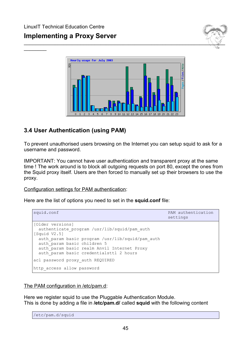$\frac{1}{2}$ 





# **3.4 User Authentication (using PAM)**

To prevent unauthorised users browsing on the Internet you can setup squid to ask for a username and password.

IMPORTANT: You cannot have user authentication and transparent proxy at the same time ! The work around is to block all outgoing requests on port 80, except the ones from the Squid proxy itself. Users are then forced to manually set up their browsers to use the proxy.

Configuration settings for PAM authentication:

Here are the list of options you need to set in the **squid.conf** file:

```
squid.conf PAM authentication
                                               settings
[Older versions]
 authenticate program /usr/lib/squid/pam_auth
[Squid V2.5]
 auth param basic program /usr/lib/squid/pam auth
 auth param basic children 5
 auth param basic realm Anvil Internet Proxy
 auth param basic credentialsttl 2 hours
acl password proxy auth REQUIRED
http access allow password
```
The PAM configuration in /etc/pam.d:

Here we register squid to use the Pluggable Authentication Module. This is done by adding a file in **/etc/pam.d/** called **squid** with the following content

/etc/pam.d/squid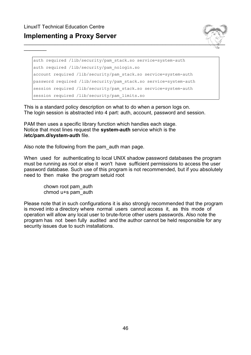$\frac{1}{2}$ 

# **Implementing a Proxy Server**



```
auth required /lib/security/pam stack.so service=system-auth
auth required /lib/security/pam_nologin.so
account required /lib/security/pam_stack.so service=system-auth 
password required /lib/security/pam_stack.so service=system-auth 
session required /lib/security/pam_stack.so service=system-auth
session required /lib/security/pam_limits.so
```
This is a standard policy description on what to do when a person logs on. The login session is abstracted into 4 part: auth, account, password and session.

PAM then uses a specific library function which handles each stage. Notice that most lines request the **system-auth** service which is the **/etc/pam.d/system-auth** file.

Also note the following from the pam\_auth man page.

When used for authenticating to local UNIX shadow password databases the program must be running as root or else it won't have sufficient permissions to access the user password database. Such use of this program is not recommended, but if you absolutely need to then make the program setuid root

 chown root pam\_auth chmod u+s pam\_auth

Please note that in such configurations it is also strongly recommended that the program is moved into a directory where normal users cannot access it, as this mode of operation will allow any local user to brute-force other users passwords. Also note the program has not been fully audited and the author cannot be held responsible for any security issues due to such installations.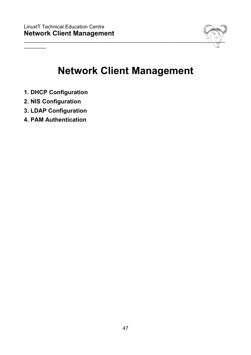

# **Network Client Management**

- **1. DHCP Configuration**
- **2. NIS Configuration**

 $\frac{1}{2}$ 

- **3. LDAP Configuration**
- **4. PAM Authentication**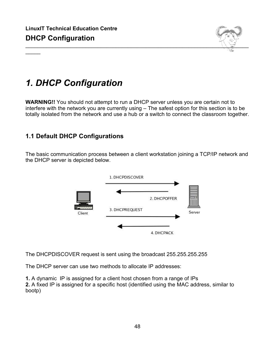$\overline{\phantom{a}}$ 



# *1. DHCP Configuration*

**WARNING!!** You should not attempt to run a DHCP server unless you are certain not to interfere with the network you are currently using – The safest option for this section is to be totally isolated from the network and use a hub or a switch to connect the classroom together.

### **1.1 Default DHCP Configurations**

The basic communication process between a client workstation joining a TCP/IP network and the DHCP server is depicted below.



The DHCPDISCOVER request is sent using the broadcast 255.255.255.255

The DHCP server can use two methods to allocate IP addresses:

**1.** A dynamic IP is assigned for a client host chosen from a range of IPs **2.** A fixed IP is assigned for a specific host (identified using the MAC address, similar to bootp)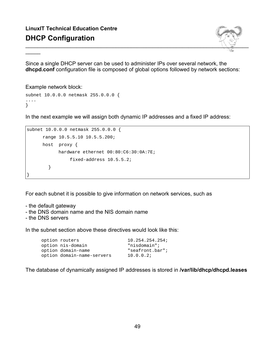

Since a single DHCP server can be used to administer IPs over several network, the **dhcpd.conf** configuration file is composed of global options followed by network sections:

Example network block:

 $\overline{\phantom{a}}$ 

```
subnet 10.0.0.0 netmask 255.0.0.0 {
....
}
```
In the next example we will assign both dynamic IP addresses and a fixed IP address:

```
subnet 10.0.0.0 netmask 255.0.0.0 {
     range 10.5.5.10 10.5.5.200;
     host proxy {
           hardware ethernet 00:80:C6:30:0A:7E;
               fixed-address 10.5.5.2;
        }
}
```
For each subnet it is possible to give information on network services, such as

- the default gateway
- the DNS domain name and the NIS domain name
- the DNS servers

In the subnet section above these directives would look like this:

| 10.254.254.254i                         |
|-----------------------------------------|
| "nisdomain";                            |
| "seafront.bar";                         |
| option domain-name-servers<br>10.0.0.2i |
|                                         |

The database of dynamically assigned IP addresses is stored in **/var/lib/dhcp/dhcpd.leases**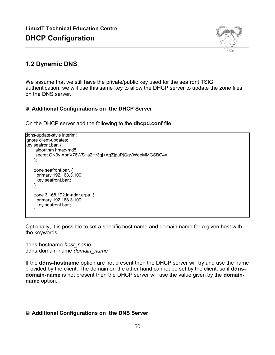

### **1.2 Dynamic DNS**

 $\overline{\phantom{a}}$ 

We assume that we still have the private/public key used for the seafront TSIG authentication, we will use this same key to allow the DHCP server to update the zone files on the DNS server.

#### **Additional Configurations on the DHCP Server**

On the DHCP server add the following to the **dhcpd.conf** file

```
ddns-update-style interim;
ignore client-updates;
key seafront.bar. {
     algorithm hmac-md5;
     secret QN3vIApnV76WS+a2Hr3qj+AqZjpuPjQgVWeeMMGSBC4=;
     };
     zone seafront.bar. {
      primary 192.168.3.100;
      key seafront.bar.;
     }
     zone 3.168.192.in-addr.arpa. {
      primary 192.168.3.100;
      key seafront.bar.;
     }
```
Optionally, it is possible to set a specific host name and domain name for a given host with the keywords

ddns-hostname *host\_name* ddns-domain-name *domain\_name*

If the **ddns-hostname** option are not present then the DHCP server will try and use the name provided by the client. The domain on the other hand cannot be set by the client, so if **ddnsdomain-name** is not present then the DHCP server will use the value given by the **domainname** option.

#### **Additional Configurations on the DNS Server**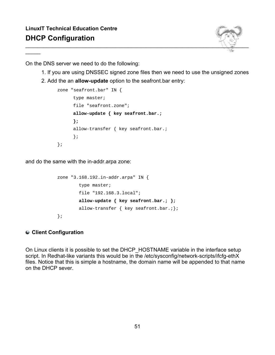$\overline{\phantom{a}}$ 



On the DNS server we need to do the following:

- 1. If you are using DNSSEC signed zone files then we need to use the unsigned zones
- 2. Add the an **allow-update** option to the seafront.bar entry:

```
zone "seafront.bar" IN {
     type master;
     file "seafront.zone";
     allow-update { key seafront.bar.;
      };
     allow-transfer { key seafront.bar.;
      };
};
```
and do the same with the in-addr.arpa zone:

```
zone "3.168.192.in-addr.arpa" IN {
       type master;
        file "192.168.3.local";
       allow-update { key seafront.bar.; };
        allow-transfer { key seafront.bar.; };
};
```
#### **Client Configuration**

On Linux clients it is possible to set the DHCP\_HOSTNAME variable in the interface setup script. In Redhat-like variants this would be in the /etc/sysconfig/network-scripts/ifcfg-ethX files. Notice that this is simple a hostname, the domain name will be appended to that name on the DHCP sever.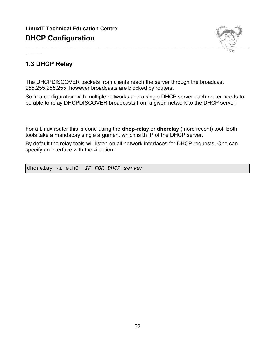

# **1.3 DHCP Relay**

 $\overline{\phantom{a}}$ 

The DHCPDISCOVER packets from clients reach the server through the broadcast 255.255.255.255, however broadcasts are blocked by routers.

So in a configuration with multiple networks and a single DHCP server each router needs to be able to relay DHCPDISCOVER broadcasts from a given network to the DHCP server.

For a Linux router this is done using the **dhcp-relay** or **dhcrelay** (more recent) tool. Both tools take a mandatory single argument which is th IP of the DHCP server.

By default the relay tools will listen on all network interfaces for DHCP requests. One can specify an interface with the **-i** option:

dhcrelay -i eth0 IP\_FOR\_DHCP\_server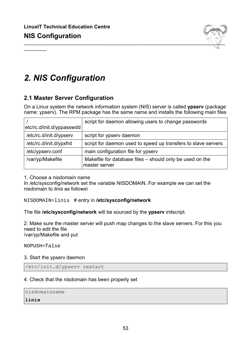$\frac{1}{2}$ 



# *2. NIS Configuration*

# **2.1 Master Server Configuration**

On a Linux system the network information system (NIS) server is called **ypserv** (package name: ypserv). The RPM package has the same name and installs the following main files

| etc/rc.d/init.d/yppasswdd | script for daemon allowing users to change passwords                      |
|---------------------------|---------------------------------------------------------------------------|
| /etc/rc.d/init.d/ypserv   | script for ypserv daemon                                                  |
| /etc/rc.d/init.d/ypxfrd   | script for daemon used to speed up transfers to slave servers             |
| /etc/ypserv.conf          | main configuration file for ypserv                                        |
| /var/yp/Makefile          | Makefile for database files – should only be used on the<br>master server |

#### 1. Choose a nisdomain name

In /etc/sysconfig/network set the variable NISDOMAIN. For example we can set the nisdomain to *linis* as follows\

#### NISDOMAIN=linis # entry in **/etc/sysconfig/network**

The file **/etc/sysconfig/network** will be sourced by the **ypserv** initscript.

2. Make sure the master server will push map changes to the slave servers. For this you need to edit the file /var/yp/Makefile and put

NOPUSH=false

#### 3. Start the ypserv daemon

/etc/init.d/ypserv restart

#### 4. Check that the nisdomain has been properly set

nisdomainname

**linis**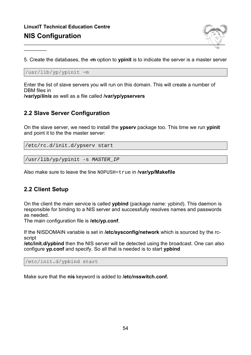

5. Create the databases, the **-m** option to **ypinit** is to indicate the server is a master server

/usr/lib/yp/ypinit -m

 $\frac{1}{2}$ 

Enter the list of slave servers you will run on this domain. This will create a number of DBM files in **/var/yp/***linis* as well as a file called **/var/yp/ypservers**

# **2.2 Slave Server Configuration**

On the slave server, we need to install the **ypserv** package too. This time we run **ypinit** and point it to the the master server:

/etc/rc.d/init.d/ypserv start

/usr/lib/yp/ypinit -s MASTER\_IP

Also make sure to leave the line NOPUSH=true in **/var/yp/Makefile**

### **2.2 Client Setup**

On the client the main service is called **ypbind** (package name: ypbind). This daemon is responsible for binding to a NIS server and successfully resolves names and passwords as needed.

The main configuration file is **/etc/yp.conf**.

If the NISDOMAIN variable is set in **/etc/sysconfig/network** which is sourced by the rcscript

**/etc/init.d/ypbind** then the NIS server will be detected using the broadcast. One can also configure **yp.conf** and specify. So all that is needed is to start **ypbind**

/etc/init.d/ypbind start

Make sure that the **nis** keyword is added to **/etc/nsswitch.conf.**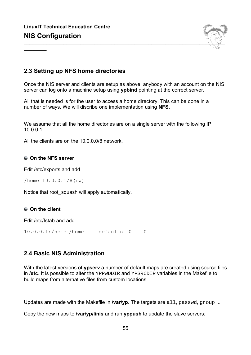$\frac{1}{2}$ 



### **2.3 Setting up NFS home directories**

Once the NIS server and clients are setup as above, anybody with an account on the NIS server can log onto a machine setup using **ypbind** pointing at the correct server.

All that is needed is for the user to access a home directory. This can be done in a number of ways. We will discribe one implementation using **NFS**.

We assume that all the home directories are on a single server with the following IP 10.0.0.1

All the clients are on the 10.0.0.0/8 network.

#### **On the NFS server**

Edit /etc/exports and add

/home 10.0.0.1/8(rw)

Notice that root squash will apply automatically.

#### **On the client**

Edit /etc/fstab and add

10.0.0.1:/home /home defaults 0 0

### **2.4 Basic NIS Administration**

With the latest versions of **ypserv** a number of default maps are created using source files in **/etc**. It is possible to alter the YPPWDDIR and YPSRCDIR variables in the Makefile to build maps from alternative files from custom locations.

Updates are made with the Makefile in **/var/yp**. The targets are all, passwd, group ...

Copy the new maps to **/var/yp/linis** and run **yppush** to update the slave servers: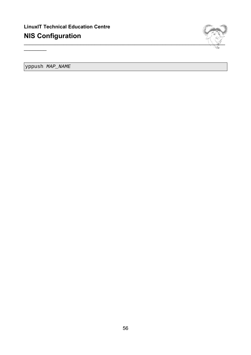

yppush MAP\_NAME

 $\frac{1}{2}$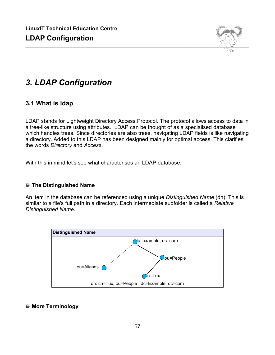

# *3. LDAP Configuration*

### **3.1 What is ldap**

 $\overline{\phantom{a}}$ 

LDAP stands for Lightweight Directory Access Protocol. The protocol allows access to data in a tree-like structure using attributes. LDAP can be thought of as a specialised database which handles trees. Since directories are also trees, navigating LDAP fields is like navigating a directory. Added to this LDAP has been designed mainly for optimal access. This clarifies the words *Directory* and *Access*.

With this in mind let's see what characterises an LDAP database.

#### **The Distinguished Name**

An item in the database can be referenced using a unique *Distinguished Name* (dn). This is similar to a file's full path in a directory. Each intermediate subfolder is called a *Relative Distinguished Name*.



#### **More Terminology**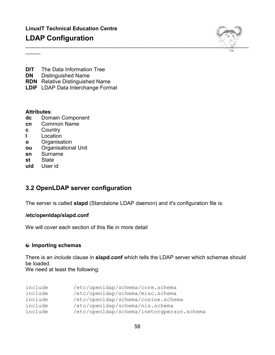# **LDAP Configuration**



- . **DIT** The Data Information Tree
- **DN** Distinguished Name
- **RDN** Relative Distinguished Name
- **LDIF** LDAP Data Interchange Format

#### **Attributes**:

 $\overline{\phantom{a}}$ 

- **dc** Domain Component
- **cn** Common Name
- **c** Country
- **l** Location
- **o** Organisation
- **ou** Organisational Unit
- **sn** Surname
- **st** State
- **uid** User id

### **3.2 OpenLDAP server configuration**

The server is called **slapd** (Standalone LDAP daemon) and it's configuration file is:

#### **/etc/openldap/slapd.conf**

We will cover each section of this file in more detail

#### **Importing schemas**

There is an *include* clause in **slapd.conf** which tells the LDAP server which schemas should be loaded.

We need at least the following:

| include | /etc/openldap/schema/core.schema          |
|---------|-------------------------------------------|
| include | /etc/openldap/schema/misc.schema          |
| include | /etc/openldap/schema/cosine.schema        |
| include | /etc/openldap/schema/nis.schema           |
| include | /etc/openldap/schema/inetorgperson.schema |
|         |                                           |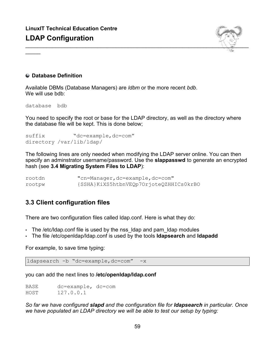

#### **Database Definition**

Available DBMs (Database Managers) are *ldbm* or the more recent *bdb*. We will use bdb:

database bdb

 $\overline{\phantom{a}}$ 

You need to specify the root or base for the LDAP directory, as well as the directory where the database file will be kept. This is done below;

suffix "dc=example,dc=com" directory /var/lib/ldap/

The following lines are only needed when modifying the LDAP server online. You can then specify an adminstrator username/password. Use the **slappasswd** to generate an encrypted hash (see **3.4 Migrating System Files to LDAP**):

rootdn "cn=Manager,dc=example,dc=com" rootpw {SSHA}KiXS5htbnVEQp7OrjoteQZHHICs0krBO

#### **3.3 Client configuration files**

There are two configuration files called ldap.conf. Here is what they do:

- $\cdot$  The /etc/ldap.conf file is used by the nss Idap and pam Idap modules
- The file /etc/openldap/ldap.conf is used by the tools **ldapsearch** and **ldapadd**

For example, to save time typing:

ldapsearch -b "dc=example,dc=com" -x

you can add the next lines to **/etc/openldap/ldap.conf**

BASE dc=example, dc=com HOST 127.0.0.1

*So far we have configured slapd and the configuration file for ldapsearch in particular. Once we have populated an LDAP directory we will be able to test our setup by typing:*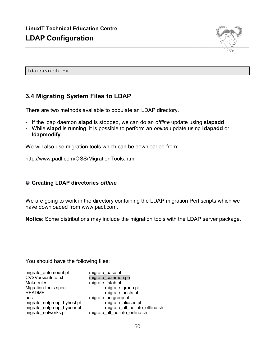

ldapsearch -x

 $\overline{\phantom{a}}$ 

### **3.4 Migrating System Files to LDAP**

There are two methods available to populate an LDAP directory.

- If the ldap daemon **slapd** is stopped, we can do an *offline* update using **slapadd**
- While **slapd** is running, it is possible to perform an *online* update using **ldapadd** or **ldapmodify**

We will also use migration tools which can be downloaded from:

http://www.padl.com/OSS/MigrationTools.html

#### **Creating LDAP directories** *offline*

We are going to work in the directory containing the LDAP migration Perl scripts which we have downloaded from www.padl.com.

**Notice**: Some distributions may include the migration tools with the LDAP server package.

You should have the following files:

| migrate automount.pl       | migrate base.pl                |
|----------------------------|--------------------------------|
| <b>CVSVersionInfo.txt</b>  | migrate common.ph              |
| Make.rules                 | migrate fstab.pl               |
| MigrationTools.spec        | migrate group.pl               |
| <b>README</b>              | migrate_hosts.pl               |
| ads                        | migrate netgroup.pl            |
| migrate_netgroup_byhost.pl | migrate aliases.pl             |
| migrate_netgroup_byuser.pl | migrate_all_netinfo_offline.sh |
| migrate networks.pl        | migrate_all_netinfo_online.sh  |
|                            |                                |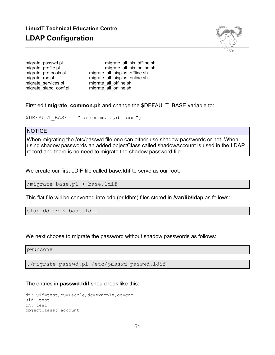# **LinuxIT Technical Education Centre LDAP Configuration**



 $\overline{\phantom{a}}$ 

migrate\_passwd.pl migrate\_all\_nis\_offline.sh migrate\_profile.pl migrate\_all\_nis\_online.sh migrate protocols.pl migrate all nisplus offline.sh migrate\_rpc.pl migrate\_all\_nisplus\_online.sh migrate\_services.pl migrate\_all\_offline.sh migrate slapd conf.pl migrate all online.sh

First edit **migrate\_common.ph** and change the \$DEFAULT\_BASE variable to:

 $$DEFAULT BASE = "dc=example,dc=com";$ 

#### **NOTICE**

When migrating the /etc/passwd file one can either use shadow passwords or not. When using shadow passwords an added objectClass called shadowAccount is used in the LDAP record and there is no need to migrate the shadow password file.

We create our first LDIF file called **base.ldif** to serve as our root:

/migrate base.pl > base.ldif

This flat file will be converted into bdb (or ldbm) files stored in **/var/lib/ldap** as follows:

slapadd -v < base.ldif

We next choose to migrate the password without shadow passwords as follows:

pwunconv

./migrate passwd.pl /etc/passwd passwd.ldif

The entries in **passwd.ldif** should look like this:

dn: uid=test,ou=People,dc=example,dc=com uid: test cn: test objectClass: account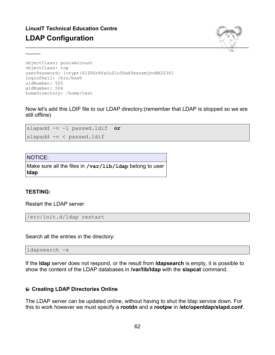# **LinuxIT Technical Education Centre LDAP Configuration**



```
objectClass: posixAccount
objectClass: top
userPassword: {crypt}$1$FGrRfa0u$lo5XwA9xxssmjboNB2Z361
loginShell: /bin/bash
uidNumber: 505
gidNumber: 506
homeDirectory: /home/test
```
Now let's add this LDIF file to our LDAP directory:(remember that LDAP is stopped so we are still offline)

slapadd -v -l passwd.ldif **or** slapadd -v < passwd.ldif

NOTICE:

 $\overline{\phantom{a}}$ 

Make sure all the files in **/var/lib/ldap** belong to user **ldap**

#### **TESTING:**

Restart the LDAP server

/etc/init.d/ldap restart

Search all the entries in the directory:

ldapsearch -x

If the **ldap** server does not respond, or the result from **ldapsearch** is empty, it is possible to show the content of the LDAP databases in **/var/lib/ldap** with the **slapcat** command.

#### **Creating LDAP Directories Online**

The LDAP server can be updated online, without having to shut the ldap service down. For this to work however we must specify a **rootdn** and a **rootpw** in **/etc/openldap/slapd.conf**.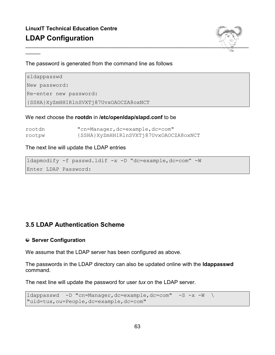

The password is generated from the command line as follows

sldappasswd New password: Re-enter new password:

 $\overline{\phantom{a}}$ 

{SSHA}XyZmHH1RlnSVXTj87UvxOAOCZA8oxNCT

#### We next choose the **rootdn** in **/etc/openldap/slapd.conf** to be

| rootdn | "cn=Manager, dc=example, dc=com"       |
|--------|----------------------------------------|
| rootpw | {SSHA}XyZmHH1RlnSVXTj87UvxOAOCZA8oxNCT |

The next line will update the LDAP entries

ldapmodify -f passwd.ldif -x -D "dc=example,dc=com" -W Enter LDAP Password:

### **3.5 LDAP Authentication Scheme**

#### **Server Configuration**

We assume that the LDAP server has been configured as above.

The passwords in the LDAP directory can also be updated online with the **ldappasswd** command.

The next line will update the password for user *tux* on the LDAP server.

```
ldappasswd -D "cn=Manager,dc=example,dc=com" -S -x -W \
"uid=tux,ou=People,dc=example,dc=com"
```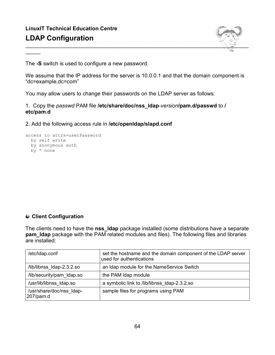$\overline{\phantom{a}}$ 



The **-S** switch is used to configure a new password.

We assume that the IP address for the server is 10.0.0.1 and that the domain component is "dc=example,dc=com"

You may allow users to change their passwords on the LDAP server as follows:

1. Copy the *passwd* PAM file **/etc/share/doc/nss\_ldap***-version***/pam.d/passwd** to **/ etc/pam.d**

2. Add the following access rule in **/etc/openldap/slapd.conf**

```
access to attrs=userPassword 
   by self write
   by anonymous auth
  by * none
```
#### **Client Configuration**

The clients need to have the **nss\_ldap** package installed (some distributions have a separate **pam Idap** package with the PAM related modules and files). The following files and libraries are installed:

| /etc/Idap.conf                        | set the hostname and the domain component of the LDAP server<br>used for authentications |
|---------------------------------------|------------------------------------------------------------------------------------------|
| /lib/libnss_Idap-2.3.2.so             | an Idap module for the NameService Switch                                                |
| /lib/security/pam Idap.so             | the PAM Idap module                                                                      |
| /usr/lib/libnss Idap.so               | a symbolic link to /lib/libnss_Idap-2.3.2.so                                             |
| /usr/share/doc/nss Idap-<br>207/pam.d | sample files for programs using PAM                                                      |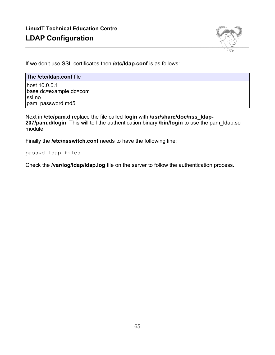

If we don't use SSL certificates then **/etc/ldap.conf** is as follows:

#### The **/etc/ldap.conf** file

 $\overline{\phantom{a}}$ 

host 10.0.0.1 base dc=example,dc=com ssl no pam\_password md5

Next in **/etc/pam.d** replace the file called **login** with **/usr/share/doc/nss\_ldap-207/pam.d/login**. This will tell the authentication binary **/bin/login** to use the pam\_ldap.so module.

Finally the **/etc/nsswitch.conf** needs to have the following line:

passwd ldap files

Check the **/var/log/ldap/ldap.log** file on the server to follow the authentication process.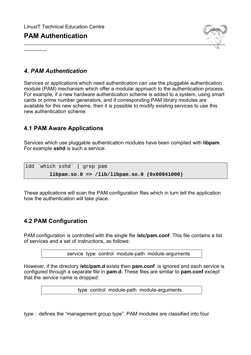# **PAM Authentication**

 $\frac{1}{2}$ 



# *4. PAM Authentication*

Services or applications which need authentication can use the pluggable authentication module (PAM) mechanism which offer a modular approach to the authentication process. For example, if a new hardware authentication scheme is added to a system, using smart cards or prime number generators, and if corresponding PAM library modules are available for this new scheme, then it is possible to modify existing services to use this new authentication scheme.

# **4.1 PAM Aware Applications**

Services which use pluggable authentication modules have been compiled with **libpam**. For example **sshd** is such a service:

```
ldd `which sshd` | grep pam
         libpam.so.0 => /lib/libpam.so.0 (0x00941000)
```
These applications will scan the PAM configuration files which in turn tell the application how the authentication will take place.

# **4.2 PAM Configuration**

PAM configuration is controlled with the single file **/etc/pam.conf**. This file contains a list of services and a set of instructions, as follows:

service type control module-path module-arguments

However, if the directory **/etc/pam.d** exists then **pam.conf** is ignored and each service is configured through a separate file in **pam.d**. These files are similar to **pam.conf** except that the *service* name is dropped:

type control module-path module-arguments

*type* : defines the "management group type". PAM modules are classified into four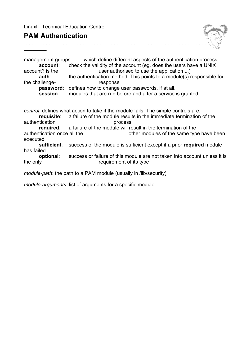# **PAM Authentication**

 $\frac{1}{2}$ 



| management groups           | which define different aspects of the authentication process:                      |
|-----------------------------|------------------------------------------------------------------------------------|
| account:                    | check the validity of the account (eg. does the users have a UNIX                  |
| account? is the             | user authorised to use the application )                                           |
| auth:                       | the authentication method. This points to a module(s) responsible for              |
| the challenge-              | response                                                                           |
| password:                   | defines how to change user passwords, if at all.                                   |
| session:                    | modules that are run before and after a service is granted                         |
|                             |                                                                                    |
|                             | control: defines what action to take if the module fails. The simple controls are: |
| requisite:                  | a failure of the module results in the immediate termination of the                |
| authentication              | process                                                                            |
|                             | <b>required:</b> a failure of the module will result in the termination of the     |
| authentication once all the | other modules of the same type have been                                           |
| executed                    |                                                                                    |
| sufficient:                 | success of the module is sufficient except if a prior required module              |
| has failed                  |                                                                                    |
| optional:                   | success or failure of this module are not taken into account unless it is          |
| the only                    | requirement of its type                                                            |
|                             | <i>module-path:</i> the path to a PAM module (usually in <i>lib/security</i> )     |
|                             |                                                                                    |

*module-arguments*: list of arguments for a specific module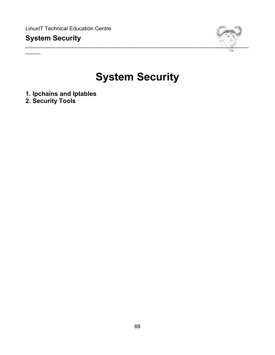$\overline{\phantom{a}}$ 



# **System Security**

- **1. Ipchains and Iptables**
- **2. Security Tools**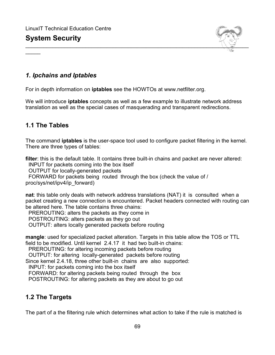$\overline{\phantom{a}}$ 



# *1. Ipchains and Iptables*

For in depth information on **iptables** see the HOWTOs at www.netfilter.org.

We will introduce **iptables** concepts as well as a few example to illustrate network address translation as well as the special cases of masquerading and transparent redirections.

### **1.1 The Tables**

The command **iptables** is the user-space tool used to configure packet filtering in the kernel. There are three types of tables:

**filter**: this is the default table. It contains three built-in chains and packet are never altered: INPUT for packets coming into the box itself OUTPUT for locally-generated packets FORWARD for packets being routed through the box (check the value of / proc/sys/net/ipv4/ip\_forward)

**nat**: this table only deals with network address translations (NAT) it is consulted when a packet creating a new connection is encountered. Packet headers connected with routing can be altered here. The table contains three chains:

 PREROUTING: alters the packets as they come in POSTROUTING: alters packets as they go out OUTPUT: alters locally generated packets before routing

**mangle**: used for specialized packet alteration. Targets in this table allow the TOS or TTL field to be modified. Until kernel 2.4.17 it had two built-in chains:

PREROUTING: for altering incoming packets before routing

OUTPUT: for altering locally-generated packets before routing

Since kernel 2.4.18, three other built-in chains are also supported:

INPUT: for packets coming into the box itself

FORWARD: for altering packets being routed through the box

POSTROUTING: for altering packets as they are about to go out

### **1.2 The Targets**

The part of a the filtering rule which determines what action to take if the rule is matched is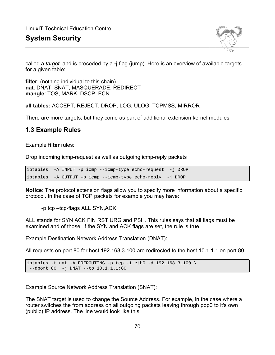$\overline{\phantom{a}}$ 



called a *target* and is preceded by a **-j** flag (jump). Here is an overview of available targets for a given table:

**filter**: (nothing individual to this chain) **nat**: DNAT, SNAT, MASQUERADE, REDIRECT **mangle**: TOS, MARK, DSCP, ECN

**all tables:** ACCEPT, REJECT, DROP, LOG, ULOG, TCPMSS, MIRROR

There are more targets, but they come as part of additional extension kernel modules

### **1.3 Example Rules**

Example **filter** rules:

Drop incoming icmp-request as well as outgoing icmp-reply packets

iptables -A INPUT -p icmp --icmp-type echo-request -j DROP iptables -A OUTPUT -p icmp --icmp-type echo-reply -j DROP

**Notice**: The protocol extension flags allow you to specify more information about a specific protocol. In the case of TCP packets for example you may have:

-p tcp –tcp-flags ALL SYN,ACK

ALL stands for SYN ACK FIN RST URG and PSH. This rules says that all flags must be examined and of those, if the SYN and ACK flags are set, the rule is true.

Example Destination Network Address Translation (DNAT):

All requests on port 80 for host 192.168.3.100 are redirected to the host 10.1.1.1 on port 80

iptables -t nat -A PREROUTING -p tcp -i eth0 -d 192.168.3.100 \ --dport 80 -j DNAT --to 10.1.1.1:80

Example Source Network Address Translation (SNAT):

The SNAT target is used to change the Source Address. For example, in the case where a router switches the from address on all outgoing packets leaving through ppp0 to it's own (public) IP address. The line would look like this: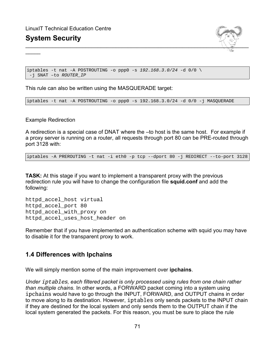$\overline{\phantom{a}}$ 



```
iptables -t nat -A POSTROUTING -o ppp0 -s 192.168.3.0/24 -d 0/0 \setminus-j SNAT –to ROUTER_IP
```
This rule can also be written using the MASQUERADE target:

iptables -t nat -A POSTROUTING -o ppp0 -s 192.168.3.0/24 -d 0/0 -j MASQUERADE

Example Redirection

A redirection is a special case of DNAT where the –to host is the same host. For example if a proxy server is running on a router, all requests through port 80 can be PRE-routed through port 3128 with:

iptables -A PREROUTING -t nat -i eth0 -p tcp --dport 80 -j REDIRECT --to-port 3128

**TASK:** At this stage if you want to implement a transparent proxy with the previous redirection rule you will have to change the configuration file **squid.conf** and add the following:

httpd\_accel\_host virtual httpd\_accel\_port 80 httpd\_accel\_with\_proxy on httpd\_accel\_uses\_host\_header on

Remember that if you have implemented an authentication scheme with squid you may have to disable it for the transparent proxy to work.

### **1.4 Differences with Ipchains**

We will simply mention some of the main improvement over **ipchains**.

*Under iptables, each filtered packet is only processed using rules from one chain rather than multiple chains.* In other words, a FORWARD packet coming into a system using ipchains would have to go through the INPUT, FORWARD, and OUTPUT chains in order to move along to its destination. However, iptables only sends packets to the INPUT chain if they are destined for the local system and only sends them to the OUTPUT chain if the local system generated the packets. For this reason, you must be sure to place the rule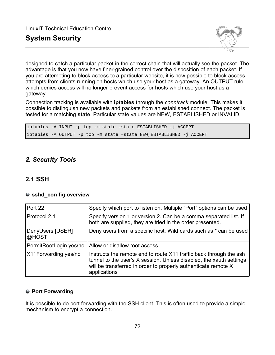$\overline{\phantom{a}}$ 



designed to catch a particular packet in the correct chain that will actually see the packet. The advantage is that you now have finer-grained control over the disposition of each packet. If you are attempting to block access to a particular website, it is now possible to block access attempts from clients running on hosts which use your host as a gateway. An OUTPUT rule which denies access will no longer prevent access for hosts which use your host as a gateway.

Connection tracking is available with **iptables** through the *conntrack* module. This makes it possible to distinguish new packets and packets from an established connect. The packet is tested for a matching **state**. Particular state values are NEW, ESTABLISHED or INVALID.

iptables -A INPUT -p tcp -m state –state ESTABLISHED -j ACCEPT iptables -A OUTPUT -p tcp -m state –state NEW,ESTABLISHED -j ACCEPT

### *2. Security Tools*

### **2.1 SSH**

#### **sshd\_con fig overview**

| Port 22                   | Specify which port to listen on. Multiple "Port" options can be used                                                                                                                                                        |
|---------------------------|-----------------------------------------------------------------------------------------------------------------------------------------------------------------------------------------------------------------------------|
| Protocol 2,1              | Specify version 1 or version 2. Can be a comma separated list. If<br>both are supplied, they are tried in the order presented.                                                                                              |
| DenyUsers [USER]<br>@HOST | Deny users from a specific host. Wild cards such as * can be used                                                                                                                                                           |
| PermitRootLogin yes/no    | Allow or disallow root access                                                                                                                                                                                               |
| X11Forwarding yes/no      | Instructs the remote end to route X11 traffic back through the ssh<br>tunnel to the user's X session. Unless disabled, the xauth settings<br>will be transferred in order to properly authenticate remote X<br>applications |

#### **Port Forwarding**

It is possible to do port forwarding with the SSH client. This is often used to provide a simple mechanism to encrypt a connection.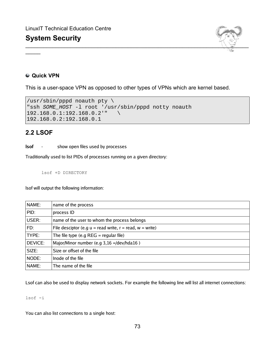

#### **Quick VPN**

 $\overline{\phantom{a}}$ 

This is a user-space VPN as opposed to other types of VPNs which are kernel based.

```
/usr/sbin/pppd noauth pty \ 
"ssh SOME_HOST -l root '/usr/sbin/pppd notty noauth
192.168.0.1:192.168.0.2'" \
192.168.0.2:192.168.0.1
```
## **2.2 LSOF**

#### **lsof** - show open files used by processes

Traditionally used to list PIDs of processes running on a given directory:

lsof +D DIRECTORY

lsof will output the following information:

| NAME:          | name of the process                                            |
|----------------|----------------------------------------------------------------|
| PID:           | process ID                                                     |
| USER:          | name of the user to whom the process belongs                   |
| FD:            | File desciptor (e.g $u =$ read write, $r =$ read, $w =$ write) |
| TYPE:          | The file type (e.g REG = regular file)                         |
| <b>DEVICE:</b> | Major/Minor number (e.g 3,16 =/dev/hda16)                      |
| SIZE:          | Size or offset of the file                                     |
| NODE:          | Inode of the file                                              |
| NAME:          | The name of the file                                           |

Lsof can also be used to display network sockets. For example the following line will list all internet connections:

lsof -i

You can also list connections to a single host: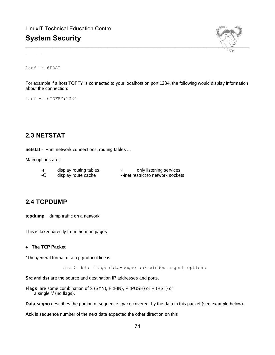

lsof -i @HOST

 $\overline{\phantom{a}}$ 

For example if a host TOFFY is connected to your localhost on port 1234, the following would display information about the connection:

lsof -i @TOFFY:1234

## **2.3 NETSTAT**

**netstat** - Print network connections, routing tables ...

Main options are:

- 
- 
- -r display routing tables and the only listening services -C display route cache --inet restrict to network sockets

## **2.4 TCPDUMP**

**tcpdump** – dump traffic on a network

This is taken directly from the man pages:

**The TCP Packet**

"The general format of a tcp protocol line is:

src > dst: flags data-seqno ack window urgent options

**Src** and **dst** are the source and destination IP addresses and ports.

**Flags** are some combination of S (SYN), F (FIN), P (PUSH) or R (RST) or a single '.' (no flags).

**Data-seqno** describes the portion of sequence space covered by the data in this packet (see example below).

**Ack** is sequence number of the next data expected the other direction on this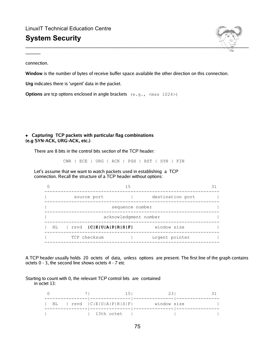

connection.

 $\overline{\phantom{a}}$ 

**Window** is the number of bytes of receive buffer space available the other direction on this connection.

**Urg** indicates there is 'urgent' data in the packet.

**Options** are tcp options enclosed in angle brackets (e.g., <mss 1024>)

#### **Capturing TCP packets with particular flag combinations (e.g SYN-ACK, URG-ACK, etc.)**

There are 8 bits in the control bits section of the TCP header:

CWR | ECE | URG | ACK | PSH | RST | SYN | FIN

 Let's assume that we want to watch packets used in establishing a TCP connection. Recall the structure of a TCP header without options:

| 15                                 |  |                  |  |  |
|------------------------------------|--|------------------|--|--|
| source port                        |  | destination port |  |  |
| sequence number                    |  |                  |  |  |
| acknowledgment number              |  |                  |  |  |
| $HL$   $rsvd$   $CIE U A P R S F $ |  | window size      |  |  |
| TCP checksum                       |  | urgent pointer   |  |  |
|                                    |  |                  |  |  |

A TCP header usually holds 20 octets of data, unless options are present. The first line of the graph contains octets 0 - 3, the second line shows octets 4 - 7 etc

Starting to count with 0, the relevant TCP control bits are contained in octet 13:

|             | 151                          |    |  |
|-------------|------------------------------|----|--|
| window size | $ $ rsvd $ C E U A P R S F $ | HL |  |
|             | 13th octet                   |    |  |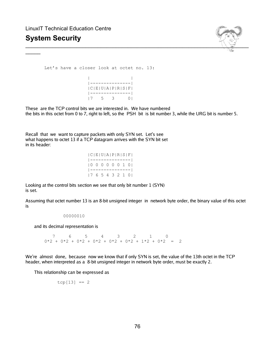$\overline{\phantom{a}}$ 



 Let's have a closer look at octet no. 13: | | |---------------| |C|E|U|A|P|R|S|F| |---------------| |7 5 3 0|

These are the TCP control bits we are interested in. We have numbered the bits in this octet from 0 to 7, right to left, so the PSH bit is bit number 3, while the URG bit is number 5.

Recall that we want to capture packets with only SYN set. Let's see what happens to octet 13 if a TCP datagram arrives with the SYN bit set in its header:

| C E U A P RS F |  |  |  |                 |  |
|----------------|--|--|--|-----------------|--|
|                |  |  |  |                 |  |
| 1000000101     |  |  |  |                 |  |
|                |  |  |  | --------------- |  |
| 1765432101     |  |  |  |                 |  |

Looking at the control bits section we see that only bit number 1 (SYN) is set.

Assuming that octet number 13 is an 8-bit unsigned integer in network byte order, the binary value of this octet is

#### 00000010

and its decimal representation is

 7 6 5 4 3 2 1 0  $0*2 + 0*2 + 0*2 + 0*2 + 0*2 + 0*2 + 1*2 + 0*2 = 2$ 

We're almost done, because now we know that if only SYN is set, the value of the 13th octet in the TCP header, when interpreted as a 8-bit unsigned integer in network byte order, must be exactly 2.

This relationship can be expressed as

 $tcp[13] == 2$